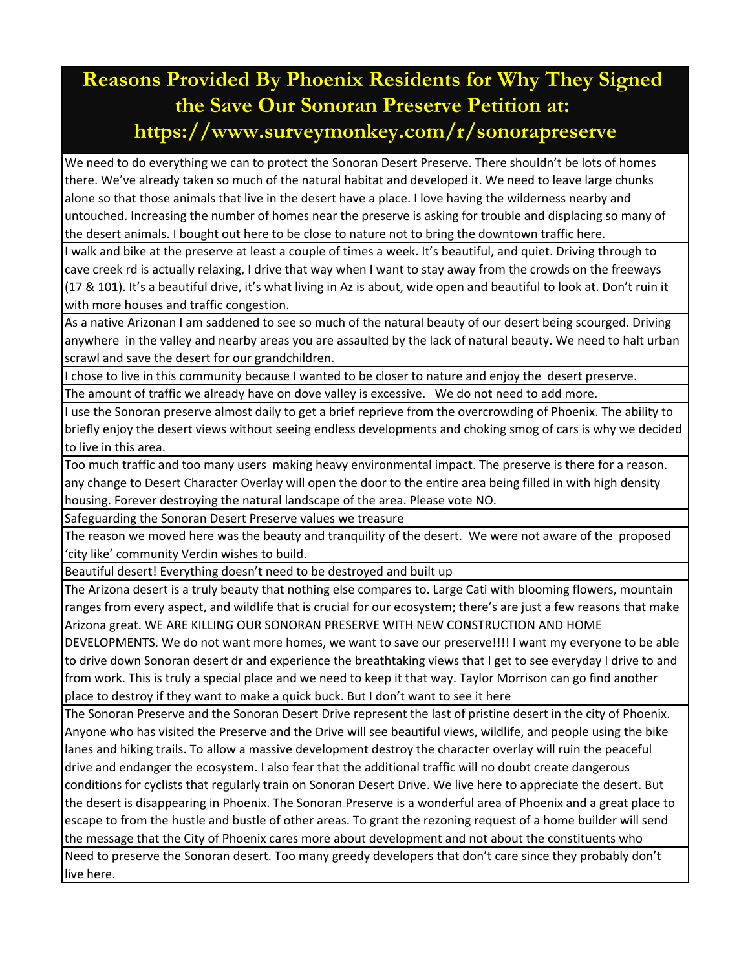## **Reasons Provided By Phoenix Residents for Why They Signed the Save Our Sonoran Preserve Petition at: https://www.surveymonkey.com/r/sonorapreserve**

We need to do everything we can to protect the Sonoran Desert Preserve. There shouldn't be lots of homes there. We've already taken so much of the natural habitat and developed it. We need to leave large chunks alone so that those animals that live in the desert have a place. I love having the wilderness nearby and untouched. Increasing the number of homes near the preserve is asking for trouble and displacing so many of the desert animals. I bought out here to be close to nature not to bring the downtown traffic here.

I walk and bike at the preserve at least a couple of times a week. It's beautiful, and quiet. Driving through to cave creek rd is actually relaxing, I drive that way when I want to stay away from the crowds on the freeways (17 & 101). It's a beautiful drive, it's what living in Az is about, wide open and beautiful to look at. Don't ruin it with more houses and traffic congestion.

As a native Arizonan I am saddened to see so much of the natural beauty of our desert being scourged. Driving anywhere in the valley and nearby areas you are assaulted by the lack of natural beauty. We need to halt urban scrawl and save the desert for our grandchildren.

I chose to live in this community because I wanted to be closer to nature and enjoy the desert preserve. The amount of traffic we already have on dove valley is excessive. We do not need to add more.

I use the Sonoran preserve almost daily to get a brief reprieve from the overcrowding of Phoenix. The ability to briefly enjoy the desert views without seeing endless developments and choking smog of cars is why we decided to live in this area.

Too much traffic and too many users making heavy environmental impact. The preserve is there for a reason. any change to Desert Character Overlay will open the door to the entire area being filled in with high density housing. Forever destroying the natural landscape of the area. Please vote NO.

Safeguarding the Sonoran Desert Preserve values we treasure

The reason we moved here was the beauty and tranquility of the desert. We were not aware of the proposed 'city like' community Verdin wishes to build.

Beautiful desert! Everything doesn't need to be destroyed and built up

The Arizona desert is a truly beauty that nothing else compares to. Large Cati with blooming flowers, mountain ranges from every aspect, and wildlife that is crucial for our ecosystem; there's are just a few reasons that make Arizona great. WE ARE KILLING OUR SONORAN PRESERVE WITH NEW CONSTRUCTION AND HOME

DEVELOPMENTS. We do not want more homes, we want to save our preserve!!!! I want my everyone to be able to drive down Sonoran desert dr and experience the breathtaking views that I get to see everyday I drive to and from work. This is truly a special place and we need to keep it that way. Taylor Morrison can go find another place to destroy if they want to make a quick buck. But I don't want to see it here

The Sonoran Preserve and the Sonoran Desert Drive represent the last of pristine desert in the city of Phoenix. Anyone who has visited the Preserve and the Drive will see beautiful views, wildlife, and people using the bike lanes and hiking trails. To allow a massive development destroy the character overlay will ruin the peaceful drive and endanger the ecosystem. I also fear that the additional traffic will no doubt create dangerous conditions for cyclists that regularly train on Sonoran Desert Drive. We live here to appreciate the desert. But the desert is disappearing in Phoenix. The Sonoran Preserve is a wonderful area of Phoenix and a great place to escape to from the hustle and bustle of other areas. To grant the rezoning request of a home builder will send the message that the City of Phoenix cares more about development and not about the constituents who Need to preserve the Sonoran desert. Too many greedy developers that don't care since they probably don't

live here.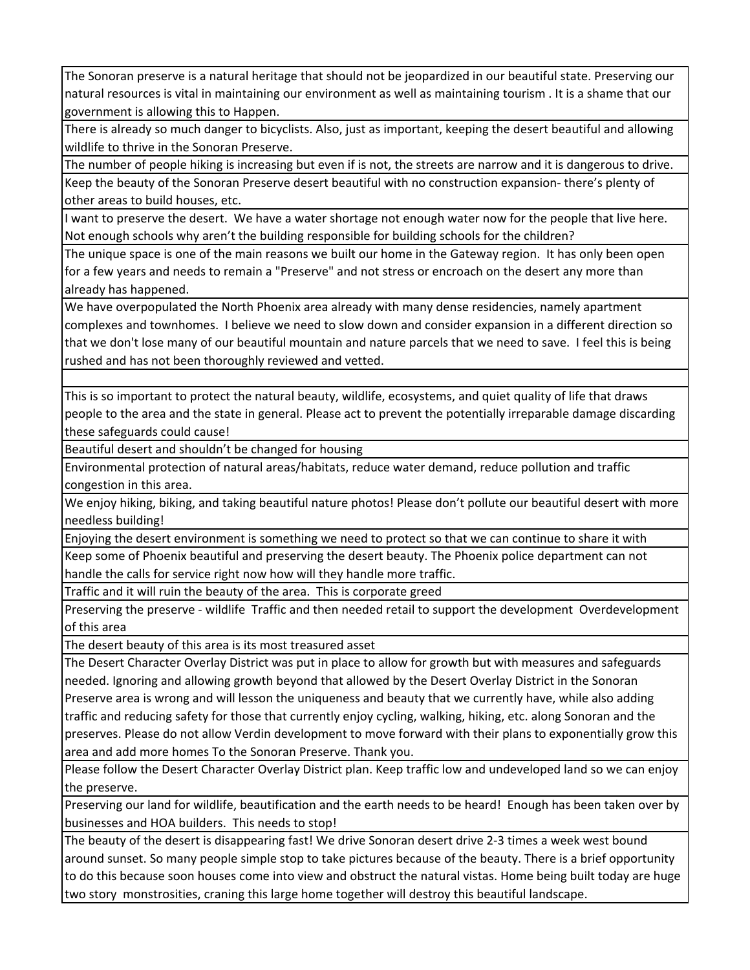The Sonoran preserve is a natural heritage that should not be jeopardized in our beautiful state. Preserving our natural resources is vital in maintaining our environment as well as maintaining tourism . It is a shame that our government is allowing this to Happen.

There is already so much danger to bicyclists. Also, just as important, keeping the desert beautiful and allowing wildlife to thrive in the Sonoran Preserve.

The number of people hiking is increasing but even if is not, the streets are narrow and it is dangerous to drive. Keep the beauty of the Sonoran Preserve desert beautiful with no construction expansion‐ there's plenty of other areas to build houses, etc.

I want to preserve the desert. We have a water shortage not enough water now for the people that live here. Not enough schools why aren't the building responsible for building schools for the children?

The unique space is one of the main reasons we built our home in the Gateway region. It has only been open for a few years and needs to remain a "Preserve" and not stress or encroach on the desert any more than already has happened.

We have overpopulated the North Phoenix area already with many dense residencies, namely apartment complexes and townhomes. I believe we need to slow down and consider expansion in a different direction so that we don't lose many of our beautiful mountain and nature parcels that we need to save. I feel this is being rushed and has not been thoroughly reviewed and vetted.

This is so important to protect the natural beauty, wildlife, ecosystems, and quiet quality of life that draws people to the area and the state in general. Please act to prevent the potentially irreparable damage discarding these safeguards could cause!

Beautiful desert and shouldn't be changed for housing

Environmental protection of natural areas/habitats, reduce water demand, reduce pollution and traffic congestion in this area.

We enjoy hiking, biking, and taking beautiful nature photos! Please don't pollute our beautiful desert with more needless building!

Enjoying the desert environment is something we need to protect so that we can continue to share it with

Keep some of Phoenix beautiful and preserving the desert beauty. The Phoenix police department can not handle the calls for service right now how will they handle more traffic.

Traffic and it will ruin the beauty of the area. This is corporate greed

Preserving the preserve ‐ wildlife Traffic and then needed retail to support the development Overdevelopment of this area

The desert beauty of this area is its most treasured asset

The Desert Character Overlay District was put in place to allow for growth but with measures and safeguards needed. Ignoring and allowing growth beyond that allowed by the Desert Overlay District in the Sonoran Preserve area is wrong and will lesson the uniqueness and beauty that we currently have, while also adding traffic and reducing safety for those that currently enjoy cycling, walking, hiking, etc. along Sonoran and the preserves. Please do not allow Verdin development to move forward with their plans to exponentially grow this area and add more homes To the Sonoran Preserve. Thank you.

Please follow the Desert Character Overlay District plan. Keep traffic low and undeveloped land so we can enjoy the preserve.

Preserving our land for wildlife, beautification and the earth needs to be heard! Enough has been taken over by businesses and HOA builders. This needs to stop!

The beauty of the desert is disappearing fast! We drive Sonoran desert drive 2‐3 times a week west bound around sunset. So many people simple stop to take pictures because of the beauty. There is a brief opportunity to do this because soon houses come into view and obstruct the natural vistas. Home being built today are huge two story monstrosities, craning this large home together will destroy this beautiful landscape.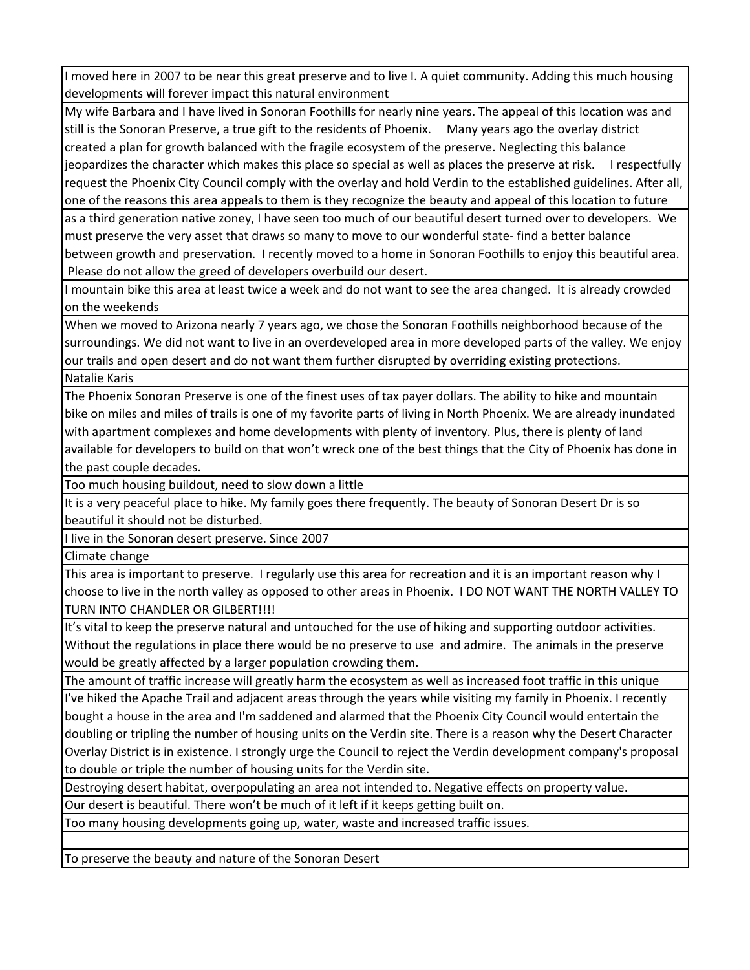I moved here in 2007 to be near this great preserve and to live I. A quiet community. Adding this much housing developments will forever impact this natural environment

My wife Barbara and I have lived in Sonoran Foothills for nearly nine years. The appeal of this location was and still is the Sonoran Preserve, a true gift to the residents of Phoenix. Many years ago the overlay district created a plan for growth balanced with the fragile ecosystem of the preserve. Neglecting this balance jeopardizes the character which makes this place so special as well as places the preserve at risk. I respectfully request the Phoenix City Council comply with the overlay and hold Verdin to the established guidelines. After all, one of the reasons this area appeals to them is they recognize the beauty and appeal of this location to future

as a third generation native zoney, I have seen too much of our beautiful desert turned over to developers. We must preserve the very asset that draws so many to move to our wonderful state‐ find a better balance between growth and preservation. I recently moved to a home in Sonoran Foothills to enjoy this beautiful area. Please do not allow the greed of developers overbuild our desert.

I mountain bike this area at least twice a week and do not want to see the area changed. It is already crowded on the weekends

When we moved to Arizona nearly 7 years ago, we chose the Sonoran Foothills neighborhood because of the surroundings. We did not want to live in an overdeveloped area in more developed parts of the valley. We enjoy our trails and open desert and do not want them further disrupted by overriding existing protections. Natalie Karis

The Phoenix Sonoran Preserve is one of the finest uses of tax payer dollars. The ability to hike and mountain bike on miles and miles of trails is one of my favorite parts of living in North Phoenix. We are already inundated with apartment complexes and home developments with plenty of inventory. Plus, there is plenty of land available for developers to build on that won't wreck one of the best things that the City of Phoenix has done in the past couple decades.

Too much housing buildout, need to slow down a little

It is a very peaceful place to hike. My family goes there frequently. The beauty of Sonoran Desert Dr is so beautiful it should not be disturbed.

I live in the Sonoran desert preserve. Since 2007

Climate change

This area is important to preserve. I regularly use this area for recreation and it is an important reason why I choose to live in the north valley as opposed to other areas in Phoenix. I DO NOT WANT THE NORTH VALLEY TO TURN INTO CHANDLER OR GILBERT!!!!

It's vital to keep the preserve natural and untouched for the use of hiking and supporting outdoor activities. Without the regulations in place there would be no preserve to use and admire. The animals in the preserve would be greatly affected by a larger population crowding them.

The amount of traffic increase will greatly harm the ecosystem as well as increased foot traffic in this unique I've hiked the Apache Trail and adjacent areas through the years while visiting my family in Phoenix. I recently bought a house in the area and I'm saddened and alarmed that the Phoenix City Council would entertain the doubling or tripling the number of housing units on the Verdin site. There is a reason why the Desert Character Overlay District is in existence. I strongly urge the Council to reject the Verdin development company's proposal to double or triple the number of housing units for the Verdin site.

Destroying desert habitat, overpopulating an area not intended to. Negative effects on property value.

Our desert is beautiful. There won't be much of it left if it keeps getting built on.

Too many housing developments going up, water, waste and increased traffic issues.

To preserve the beauty and nature of the Sonoran Desert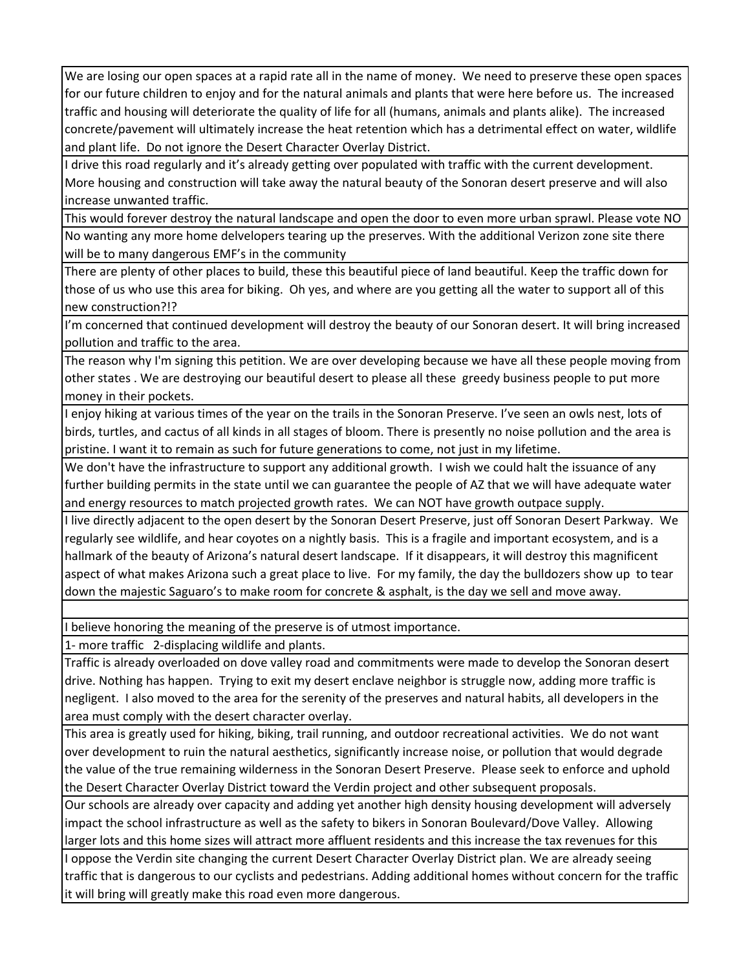We are losing our open spaces at a rapid rate all in the name of money. We need to preserve these open spaces for our future children to enjoy and for the natural animals and plants that were here before us. The increased traffic and housing will deteriorate the quality of life for all (humans, animals and plants alike). The increased concrete/pavement will ultimately increase the heat retention which has a detrimental effect on water, wildlife and plant life. Do not ignore the Desert Character Overlay District.

I drive this road regularly and it's already getting over populated with traffic with the current development. More housing and construction will take away the natural beauty of the Sonoran desert preserve and will also increase unwanted traffic.

This would forever destroy the natural landscape and open the door to even more urban sprawl. Please vote NO No wanting any more home delvelopers tearing up the preserves. With the additional Verizon zone site there will be to many dangerous EMF's in the community

There are plenty of other places to build, these this beautiful piece of land beautiful. Keep the traffic down for those of us who use this area for biking. Oh yes, and where are you getting all the water to support all of this new construction?!?

I'm concerned that continued development will destroy the beauty of our Sonoran desert. It will bring increased pollution and traffic to the area.

The reason why I'm signing this petition. We are over developing because we have all these people moving from other states . We are destroying our beautiful desert to please all these greedy business people to put more money in their pockets.

I enjoy hiking at various times of the year on the trails in the Sonoran Preserve. I've seen an owls nest, lots of birds, turtles, and cactus of all kinds in all stages of bloom. There is presently no noise pollution and the area is pristine. I want it to remain as such for future generations to come, not just in my lifetime.

We don't have the infrastructure to support any additional growth. I wish we could halt the issuance of any further building permits in the state until we can guarantee the people of AZ that we will have adequate water and energy resources to match projected growth rates. We can NOT have growth outpace supply.

I live directly adjacent to the open desert by the Sonoran Desert Preserve, just off Sonoran Desert Parkway. We regularly see wildlife, and hear coyotes on a nightly basis. This is a fragile and important ecosystem, and is a hallmark of the beauty of Arizona's natural desert landscape. If it disappears, it will destroy this magnificent aspect of what makes Arizona such a great place to live. For my family, the day the bulldozers show up to tear down the majestic Saguaro's to make room for concrete & asphalt, is the day we sell and move away.

I believe honoring the meaning of the preserve is of utmost importance.

1‐ more traffic 2‐displacing wildlife and plants.

Traffic is already overloaded on dove valley road and commitments were made to develop the Sonoran desert drive. Nothing has happen. Trying to exit my desert enclave neighbor is struggle now, adding more traffic is negligent. I also moved to the area for the serenity of the preserves and natural habits, all developers in the area must comply with the desert character overlay.

This area is greatly used for hiking, biking, trail running, and outdoor recreational activities. We do not want over development to ruin the natural aesthetics, significantly increase noise, or pollution that would degrade the value of the true remaining wilderness in the Sonoran Desert Preserve. Please seek to enforce and uphold the Desert Character Overlay District toward the Verdin project and other subsequent proposals.

Our schools are already over capacity and adding yet another high density housing development will adversely impact the school infrastructure as well as the safety to bikers in Sonoran Boulevard/Dove Valley. Allowing larger lots and this home sizes will attract more affluent residents and this increase the tax revenues for this

I oppose the Verdin site changing the current Desert Character Overlay District plan. We are already seeing traffic that is dangerous to our cyclists and pedestrians. Adding additional homes without concern for the traffic it will bring will greatly make this road even more dangerous.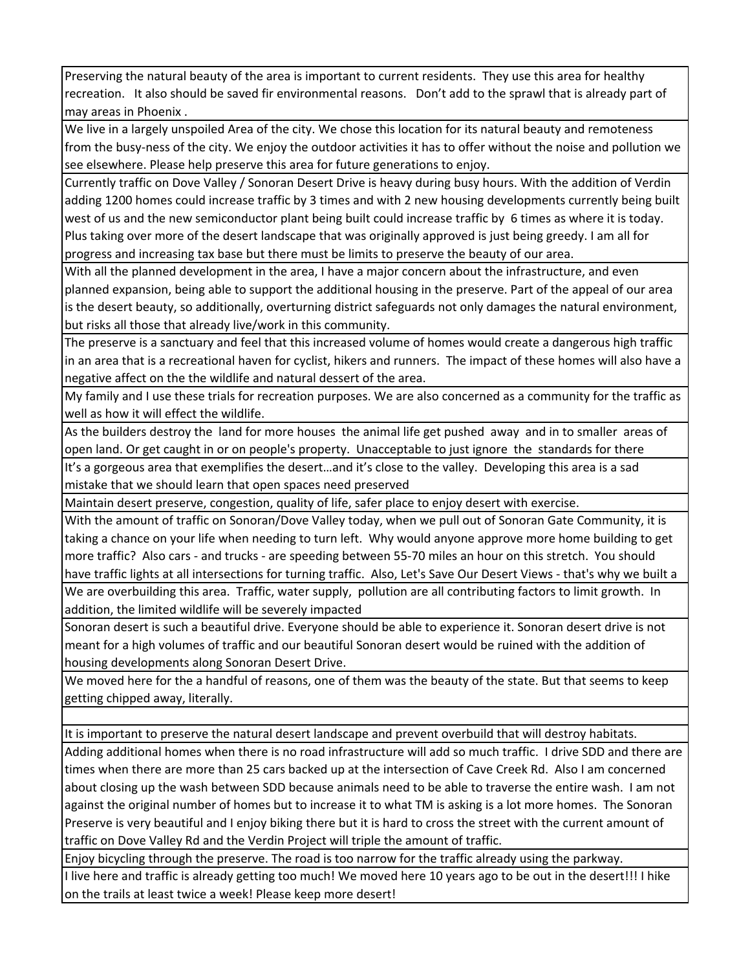Preserving the natural beauty of the area is important to current residents. They use this area for healthy recreation. It also should be saved fir environmental reasons. Don't add to the sprawl that is already part of may areas in Phoenix .

We live in a largely unspoiled Area of the city. We chose this location for its natural beauty and remoteness from the busy-ness of the city. We enjoy the outdoor activities it has to offer without the noise and pollution we see elsewhere. Please help preserve this area for future generations to enjoy.

Currently traffic on Dove Valley / Sonoran Desert Drive is heavy during busy hours. With the addition of Verdin adding 1200 homes could increase traffic by 3 times and with 2 new housing developments currently being built west of us and the new semiconductor plant being built could increase traffic by 6 times as where it is today. Plus taking over more of the desert landscape that was originally approved is just being greedy. I am all for progress and increasing tax base but there must be limits to preserve the beauty of our area.

With all the planned development in the area, I have a major concern about the infrastructure, and even planned expansion, being able to support the additional housing in the preserve. Part of the appeal of our area is the desert beauty, so additionally, overturning district safeguards not only damages the natural environment, but risks all those that already live/work in this community.

The preserve is a sanctuary and feel that this increased volume of homes would create a dangerous high traffic in an area that is a recreational haven for cyclist, hikers and runners. The impact of these homes will also have a negative affect on the the wildlife and natural dessert of the area.

My family and I use these trials for recreation purposes. We are also concerned as a community for the traffic as well as how it will effect the wildlife.

As the builders destroy the land for more houses the animal life get pushed away and in to smaller areas of open land. Or get caught in or on people's property. Unacceptable to just ignore the standards for there

It's a gorgeous area that exemplifies the desert…and it's close to the valley. Developing this area is a sad mistake that we should learn that open spaces need preserved

Maintain desert preserve, congestion, quality of life, safer place to enjoy desert with exercise.

With the amount of traffic on Sonoran/Dove Valley today, when we pull out of Sonoran Gate Community, it is taking a chance on your life when needing to turn left. Why would anyone approve more home building to get more traffic? Also cars ‐ and trucks ‐ are speeding between 55‐70 miles an hour on this stretch. You should have traffic lights at all intersections for turning traffic. Also, Let's Save Our Desert Views ‐ that's why we built a

We are overbuilding this area. Traffic, water supply, pollution are all contributing factors to limit growth. In addition, the limited wildlife will be severely impacted

Sonoran desert is such a beautiful drive. Everyone should be able to experience it. Sonoran desert drive is not meant for a high volumes of traffic and our beautiful Sonoran desert would be ruined with the addition of housing developments along Sonoran Desert Drive.

We moved here for the a handful of reasons, one of them was the beauty of the state. But that seems to keep getting chipped away, literally.

It is important to preserve the natural desert landscape and prevent overbuild that will destroy habitats.

Adding additional homes when there is no road infrastructure will add so much traffic. I drive SDD and there are times when there are more than 25 cars backed up at the intersection of Cave Creek Rd. Also I am concerned about closing up the wash between SDD because animals need to be able to traverse the entire wash. I am not against the original number of homes but to increase it to what TM is asking is a lot more homes. The Sonoran Preserve is very beautiful and I enjoy biking there but it is hard to cross the street with the current amount of traffic on Dove Valley Rd and the Verdin Project will triple the amount of traffic.

Enjoy bicycling through the preserve. The road is too narrow for the traffic already using the parkway.

I live here and traffic is already getting too much! We moved here 10 years ago to be out in the desert!!! I hike on the trails at least twice a week! Please keep more desert!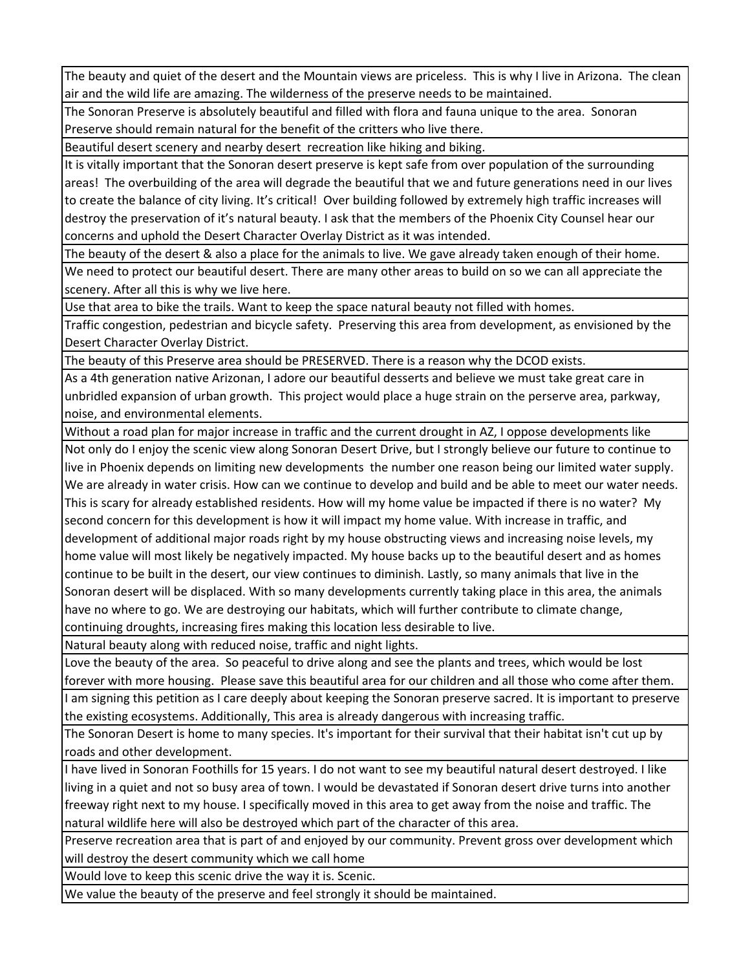The beauty and quiet of the desert and the Mountain views are priceless. This is why I live in Arizona. The clean air and the wild life are amazing. The wilderness of the preserve needs to be maintained.

The Sonoran Preserve is absolutely beautiful and filled with flora and fauna unique to the area. Sonoran Preserve should remain natural for the benefit of the critters who live there.

Beautiful desert scenery and nearby desert recreation like hiking and biking.

It is vitally important that the Sonoran desert preserve is kept safe from over population of the surrounding areas! The overbuilding of the area will degrade the beautiful that we and future generations need in our lives to create the balance of city living. It's critical! Over building followed by extremely high traffic increases will destroy the preservation of it's natural beauty. I ask that the members of the Phoenix City Counsel hear our concerns and uphold the Desert Character Overlay District as it was intended.

The beauty of the desert & also a place for the animals to live. We gave already taken enough of their home.

We need to protect our beautiful desert. There are many other areas to build on so we can all appreciate the scenery. After all this is why we live here.

Use that area to bike the trails. Want to keep the space natural beauty not filled with homes.

Traffic congestion, pedestrian and bicycle safety. Preserving this area from development, as envisioned by the Desert Character Overlay District.

The beauty of this Preserve area should be PRESERVED. There is a reason why the DCOD exists.

As a 4th generation native Arizonan, I adore our beautiful desserts and believe we must take great care in unbridled expansion of urban growth. This project would place a huge strain on the perserve area, parkway, noise, and environmental elements.

Without a road plan for major increase in traffic and the current drought in AZ, I oppose developments like

Not only do I enjoy the scenic view along Sonoran Desert Drive, but I strongly believe our future to continue to live in Phoenix depends on limiting new developments the number one reason being our limited water supply. We are already in water crisis. How can we continue to develop and build and be able to meet our water needs. This is scary for already established residents. How will my home value be impacted if there is no water? My second concern for this development is how it will impact my home value. With increase in traffic, and development of additional major roads right by my house obstructing views and increasing noise levels, my home value will most likely be negatively impacted. My house backs up to the beautiful desert and as homes continue to be built in the desert, our view continues to diminish. Lastly, so many animals that live in the Sonoran desert will be displaced. With so many developments currently taking place in this area, the animals have no where to go. We are destroying our habitats, which will further contribute to climate change,

continuing droughts, increasing fires making this location less desirable to live.

Natural beauty along with reduced noise, traffic and night lights.

Love the beauty of the area. So peaceful to drive along and see the plants and trees, which would be lost forever with more housing. Please save this beautiful area for our children and all those who come after them.

I am signing this petition as I care deeply about keeping the Sonoran preserve sacred. It is important to preserve the existing ecosystems. Additionally, This area is already dangerous with increasing traffic.

The Sonoran Desert is home to many species. It's important for their survival that their habitat isn't cut up by roads and other development.

I have lived in Sonoran Foothills for 15 years. I do not want to see my beautiful natural desert destroyed. I like living in a quiet and not so busy area of town. I would be devastated if Sonoran desert drive turns into another freeway right next to my house. I specifically moved in this area to get away from the noise and traffic. The natural wildlife here will also be destroyed which part of the character of this area.

Preserve recreation area that is part of and enjoyed by our community. Prevent gross over development which will destroy the desert community which we call home

Would love to keep this scenic drive the way it is. Scenic.

We value the beauty of the preserve and feel strongly it should be maintained.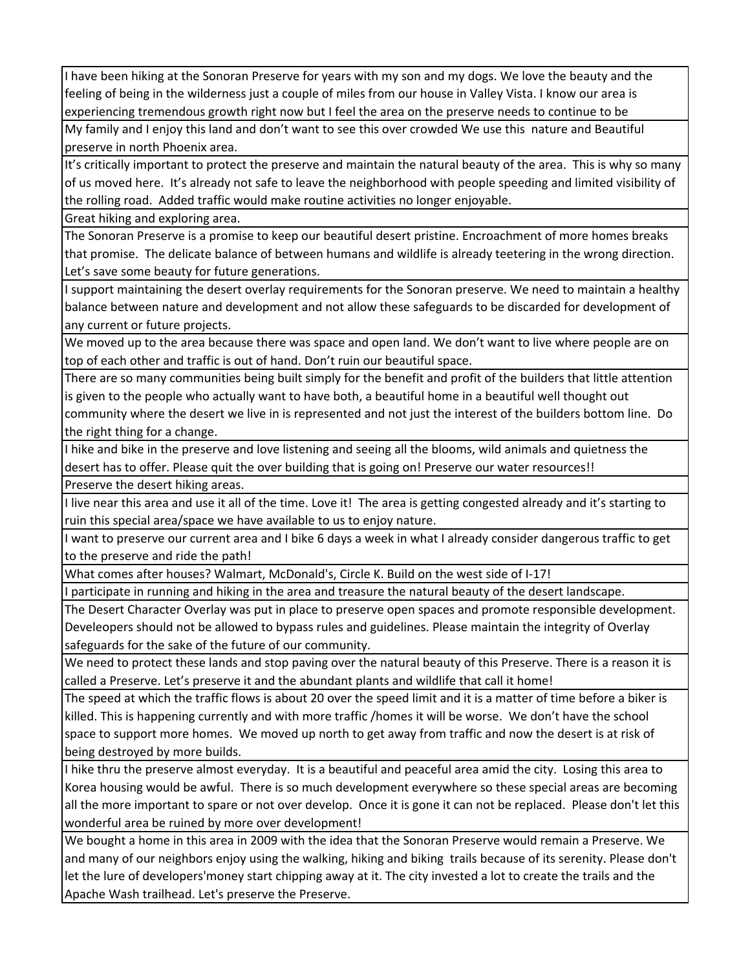I have been hiking at the Sonoran Preserve for years with my son and my dogs. We love the beauty and the feeling of being in the wilderness just a couple of miles from our house in Valley Vista. I know our area is experiencing tremendous growth right now but I feel the area on the preserve needs to continue to be

My family and I enjoy this land and don't want to see this over crowded We use this nature and Beautiful preserve in north Phoenix area.

It's critically important to protect the preserve and maintain the natural beauty of the area. This is why so many of us moved here. It's already not safe to leave the neighborhood with people speeding and limited visibility of the rolling road. Added traffic would make routine activities no longer enjoyable.

Great hiking and exploring area.

The Sonoran Preserve is a promise to keep our beautiful desert pristine. Encroachment of more homes breaks that promise. The delicate balance of between humans and wildlife is already teetering in the wrong direction. Let's save some beauty for future generations.

I support maintaining the desert overlay requirements for the Sonoran preserve. We need to maintain a healthy balance between nature and development and not allow these safeguards to be discarded for development of any current or future projects.

We moved up to the area because there was space and open land. We don't want to live where people are on top of each other and traffic is out of hand. Don't ruin our beautiful space.

There are so many communities being built simply for the benefit and profit of the builders that little attention is given to the people who actually want to have both, a beautiful home in a beautiful well thought out community where the desert we live in is represented and not just the interest of the builders bottom line. Do the right thing for a change.

I hike and bike in the preserve and love listening and seeing all the blooms, wild animals and quietness the desert has to offer. Please quit the over building that is going on! Preserve our water resources!!

Preserve the desert hiking areas.

I live near this area and use it all of the time. Love it! The area is getting congested already and it's starting to ruin this special area/space we have available to us to enjoy nature.

I want to preserve our current area and I bike 6 days a week in what I already consider dangerous traffic to get to the preserve and ride the path!

What comes after houses? Walmart, McDonald's, Circle K. Build on the west side of I‐17!

I participate in running and hiking in the area and treasure the natural beauty of the desert landscape.

The Desert Character Overlay was put in place to preserve open spaces and promote responsible development. Develeopers should not be allowed to bypass rules and guidelines. Please maintain the integrity of Overlay safeguards for the sake of the future of our community.

We need to protect these lands and stop paving over the natural beauty of this Preserve. There is a reason it is called a Preserve. Let's preserve it and the abundant plants and wildlife that call it home!

The speed at which the traffic flows is about 20 over the speed limit and it is a matter of time before a biker is killed. This is happening currently and with more traffic /homes it will be worse. We don't have the school space to support more homes. We moved up north to get away from traffic and now the desert is at risk of being destroyed by more builds.

I hike thru the preserve almost everyday. It is a beautiful and peaceful area amid the city. Losing this area to Korea housing would be awful. There is so much development everywhere so these special areas are becoming all the more important to spare or not over develop. Once it is gone it can not be replaced. Please don't let this wonderful area be ruined by more over development!

We bought a home in this area in 2009 with the idea that the Sonoran Preserve would remain a Preserve. We and many of our neighbors enjoy using the walking, hiking and biking trails because of its serenity. Please don't let the lure of developers'money start chipping away at it. The city invested a lot to create the trails and the Apache Wash trailhead. Let's preserve the Preserve.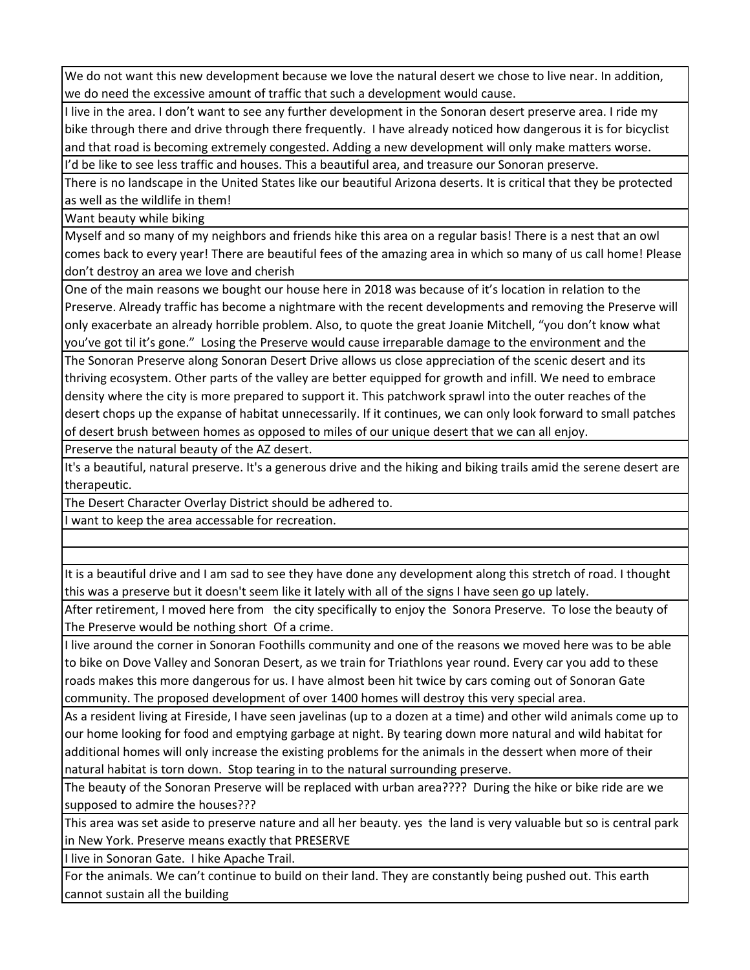We do not want this new development because we love the natural desert we chose to live near. In addition, we do need the excessive amount of traffic that such a development would cause.

I live in the area. I don't want to see any further development in the Sonoran desert preserve area. I ride my bike through there and drive through there frequently. I have already noticed how dangerous it is for bicyclist and that road is becoming extremely congested. Adding a new development will only make matters worse.

I'd be like to see less traffic and houses. This a beautiful area, and treasure our Sonoran preserve.

There is no landscape in the United States like our beautiful Arizona deserts. It is critical that they be protected as well as the wildlife in them!

Want beauty while biking

Myself and so many of my neighbors and friends hike this area on a regular basis! There is a nest that an owl comes back to every year! There are beautiful fees of the amazing area in which so many of us call home! Please don't destroy an area we love and cherish

One of the main reasons we bought our house here in 2018 was because of it's location in relation to the Preserve. Already traffic has become a nightmare with the recent developments and removing the Preserve will only exacerbate an already horrible problem. Also, to quote the great Joanie Mitchell, "you don't know what you've got til it's gone." Losing the Preserve would cause irreparable damage to the environment and the

The Sonoran Preserve along Sonoran Desert Drive allows us close appreciation of the scenic desert and its thriving ecosystem. Other parts of the valley are better equipped for growth and infill. We need to embrace density where the city is more prepared to support it. This patchwork sprawl into the outer reaches of the desert chops up the expanse of habitat unnecessarily. If it continues, we can only look forward to small patches of desert brush between homes as opposed to miles of our unique desert that we can all enjoy.

Preserve the natural beauty of the AZ desert.

It's a beautiful, natural preserve. It's a generous drive and the hiking and biking trails amid the serene desert are therapeutic.

The Desert Character Overlay District should be adhered to.

I want to keep the area accessable for recreation.

It is a beautiful drive and I am sad to see they have done any development along this stretch of road. I thought this was a preserve but it doesn't seem like it lately with all of the signs I have seen go up lately.

After retirement, I moved here from the city specifically to enjoy the Sonora Preserve. To lose the beauty of The Preserve would be nothing short Of a crime.

I live around the corner in Sonoran Foothills community and one of the reasons we moved here was to be able to bike on Dove Valley and Sonoran Desert, as we train for Triathlons year round. Every car you add to these roads makes this more dangerous for us. I have almost been hit twice by cars coming out of Sonoran Gate community. The proposed development of over 1400 homes will destroy this very special area.

As a resident living at Fireside, I have seen javelinas (up to a dozen at a time) and other wild animals come up to our home looking for food and emptying garbage at night. By tearing down more natural and wild habitat for additional homes will only increase the existing problems for the animals in the dessert when more of their natural habitat is torn down. Stop tearing in to the natural surrounding preserve.

The beauty of the Sonoran Preserve will be replaced with urban area???? During the hike or bike ride are we supposed to admire the houses???

This area was set aside to preserve nature and all her beauty. yes the land is very valuable but so is central park in New York. Preserve means exactly that PRESERVE

I live in Sonoran Gate. I hike Apache Trail.

For the animals. We can't continue to build on their land. They are constantly being pushed out. This earth cannot sustain all the building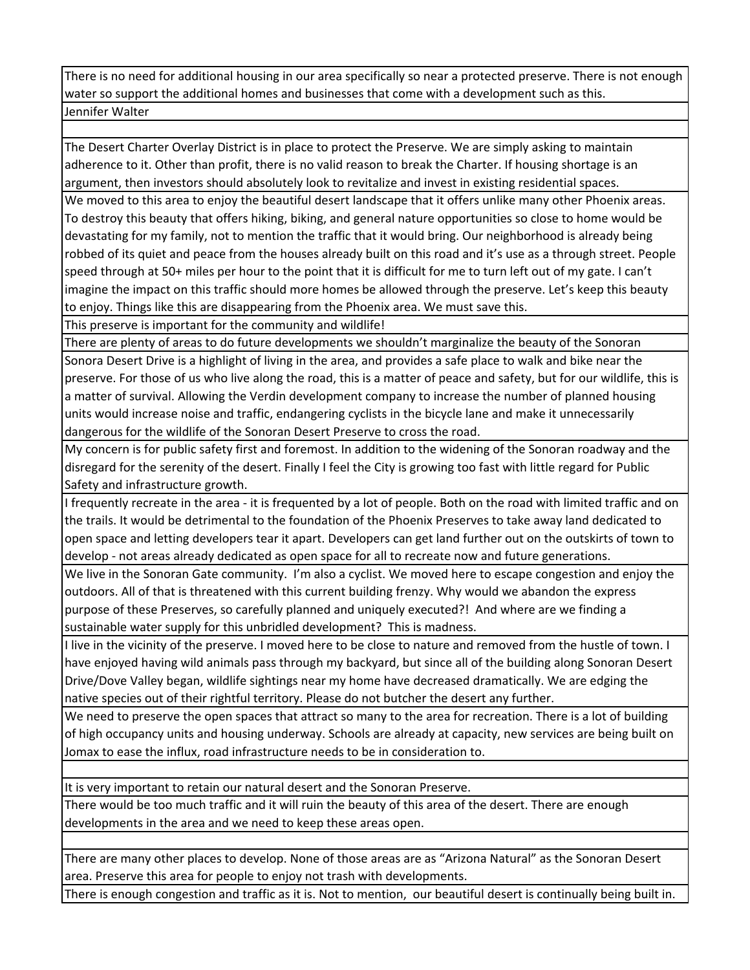There is no need for additional housing in our area specifically so near a protected preserve. There is not enough water so support the additional homes and businesses that come with a development such as this. Jennifer Walter

The Desert Charter Overlay District is in place to protect the Preserve. We are simply asking to maintain adherence to it. Other than profit, there is no valid reason to break the Charter. If housing shortage is an argument, then investors should absolutely look to revitalize and invest in existing residential spaces.

We moved to this area to enjoy the beautiful desert landscape that it offers unlike many other Phoenix areas. To destroy this beauty that offers hiking, biking, and general nature opportunities so close to home would be devastating for my family, not to mention the traffic that it would bring. Our neighborhood is already being robbed of its quiet and peace from the houses already built on this road and it's use as a through street. People speed through at 50+ miles per hour to the point that it is difficult for me to turn left out of my gate. I can't imagine the impact on this traffic should more homes be allowed through the preserve. Let's keep this beauty to enjoy. Things like this are disappearing from the Phoenix area. We must save this.

This preserve is important for the community and wildlife!

There are plenty of areas to do future developments we shouldn't marginalize the beauty of the Sonoran Sonora Desert Drive is a highlight of living in the area, and provides a safe place to walk and bike near the preserve. For those of us who live along the road, this is a matter of peace and safety, but for our wildlife, this is a matter of survival. Allowing the Verdin development company to increase the number of planned housing units would increase noise and traffic, endangering cyclists in the bicycle lane and make it unnecessarily dangerous for the wildlife of the Sonoran Desert Preserve to cross the road.

My concern is for public safety first and foremost. In addition to the widening of the Sonoran roadway and the disregard for the serenity of the desert. Finally I feel the City is growing too fast with little regard for Public Safety and infrastructure growth.

I frequently recreate in the area ‐ it is frequented by a lot of people. Both on the road with limited traffic and on the trails. It would be detrimental to the foundation of the Phoenix Preserves to take away land dedicated to open space and letting developers tear it apart. Developers can get land further out on the outskirts of town to develop ‐ not areas already dedicated as open space for all to recreate now and future generations.

We live in the Sonoran Gate community. I'm also a cyclist. We moved here to escape congestion and enjoy the outdoors. All of that is threatened with this current building frenzy. Why would we abandon the express purpose of these Preserves, so carefully planned and uniquely executed?! And where are we finding a sustainable water supply for this unbridled development? This is madness.

I live in the vicinity of the preserve. I moved here to be close to nature and removed from the hustle of town. I have enjoyed having wild animals pass through my backyard, but since all of the building along Sonoran Desert Drive/Dove Valley began, wildlife sightings near my home have decreased dramatically. We are edging the native species out of their rightful territory. Please do not butcher the desert any further.

We need to preserve the open spaces that attract so many to the area for recreation. There is a lot of building of high occupancy units and housing underway. Schools are already at capacity, new services are being built on Jomax to ease the influx, road infrastructure needs to be in consideration to.

It is very important to retain our natural desert and the Sonoran Preserve.

There would be too much traffic and it will ruin the beauty of this area of the desert. There are enough developments in the area and we need to keep these areas open.

There are many other places to develop. None of those areas are as "Arizona Natural" as the Sonoran Desert area. Preserve this area for people to enjoy not trash with developments.

There is enough congestion and traffic as it is. Not to mention, our beautiful desert is continually being built in.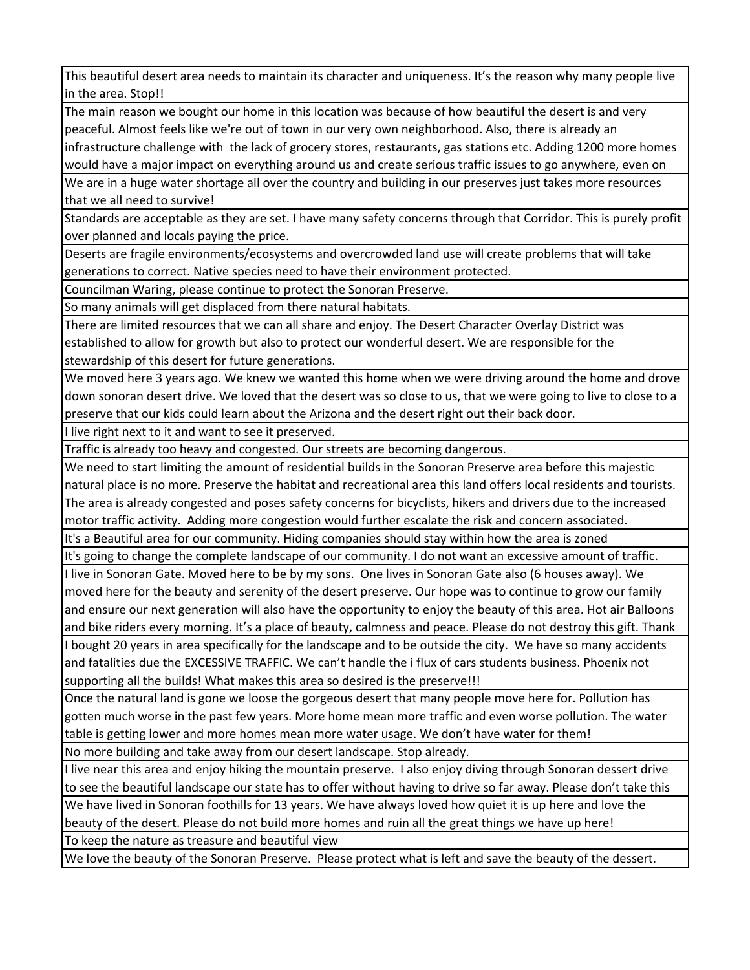This beautiful desert area needs to maintain its character and uniqueness. It's the reason why many people live in the area. Stop!!

The main reason we bought our home in this location was because of how beautiful the desert is and very peaceful. Almost feels like we're out of town in our very own neighborhood. Also, there is already an infrastructure challenge with the lack of grocery stores, restaurants, gas stations etc. Adding 1200 more homes would have a major impact on everything around us and create serious traffic issues to go anywhere, even on

We are in a huge water shortage all over the country and building in our preserves just takes more resources that we all need to survive!

Standards are acceptable as they are set. I have many safety concerns through that Corridor. This is purely profit over planned and locals paying the price.

Deserts are fragile environments/ecosystems and overcrowded land use will create problems that will take generations to correct. Native species need to have their environment protected.

Councilman Waring, please continue to protect the Sonoran Preserve.

So many animals will get displaced from there natural habitats.

There are limited resources that we can all share and enjoy. The Desert Character Overlay District was established to allow for growth but also to protect our wonderful desert. We are responsible for the stewardship of this desert for future generations.

We moved here 3 years ago. We knew we wanted this home when we were driving around the home and drove down sonoran desert drive. We loved that the desert was so close to us, that we were going to live to close to a preserve that our kids could learn about the Arizona and the desert right out their back door.

I live right next to it and want to see it preserved.

Traffic is already too heavy and congested. Our streets are becoming dangerous.

We need to start limiting the amount of residential builds in the Sonoran Preserve area before this majestic natural place is no more. Preserve the habitat and recreational area this land offers local residents and tourists. The area is already congested and poses safety concerns for bicyclists, hikers and drivers due to the increased motor traffic activity. Adding more congestion would further escalate the risk and concern associated.

It's a Beautiful area for our community. Hiding companies should stay within how the area is zoned

It's going to change the complete landscape of our community. I do not want an excessive amount of traffic. I live in Sonoran Gate. Moved here to be by my sons. One lives in Sonoran Gate also (6 houses away). We

moved here for the beauty and serenity of the desert preserve. Our hope was to continue to grow our family and ensure our next generation will also have the opportunity to enjoy the beauty of this area. Hot air Balloons and bike riders every morning. It's a place of beauty, calmness and peace. Please do not destroy this gift. Thank I bought 20 years in area specifically for the landscape and to be outside the city. We have so many accidents and fatalities due the EXCESSIVE TRAFFIC. We can't handle the i flux of cars students business. Phoenix not

supporting all the builds! What makes this area so desired is the preserve!!!

Once the natural land is gone we loose the gorgeous desert that many people move here for. Pollution has gotten much worse in the past few years. More home mean more traffic and even worse pollution. The water table is getting lower and more homes mean more water usage. We don't have water for them!

No more building and take away from our desert landscape. Stop already.

I live near this area and enjoy hiking the mountain preserve. I also enjoy diving through Sonoran dessert drive to see the beautiful landscape our state has to offer without having to drive so far away. Please don't take this We have lived in Sonoran foothills for 13 years. We have always loved how quiet it is up here and love the beauty of the desert. Please do not build more homes and ruin all the great things we have up here!

To keep the nature as treasure and beautiful view

We love the beauty of the Sonoran Preserve. Please protect what is left and save the beauty of the dessert.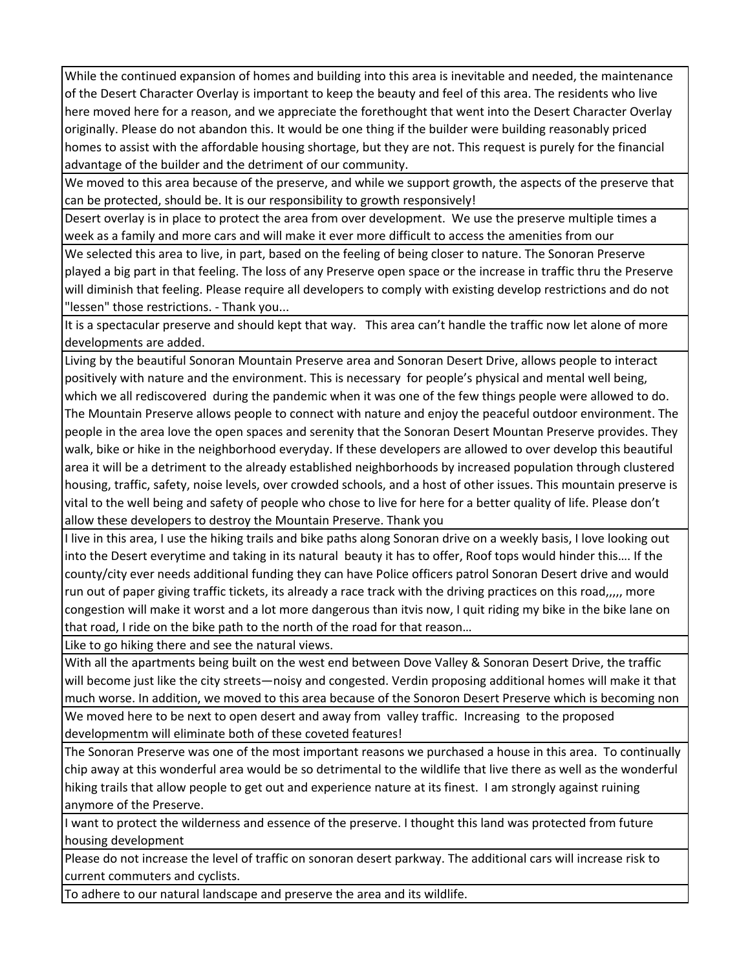While the continued expansion of homes and building into this area is inevitable and needed, the maintenance of the Desert Character Overlay is important to keep the beauty and feel of this area. The residents who live here moved here for a reason, and we appreciate the forethought that went into the Desert Character Overlay originally. Please do not abandon this. It would be one thing if the builder were building reasonably priced homes to assist with the affordable housing shortage, but they are not. This request is purely for the financial advantage of the builder and the detriment of our community.

We moved to this area because of the preserve, and while we support growth, the aspects of the preserve that can be protected, should be. It is our responsibility to growth responsively!

Desert overlay is in place to protect the area from over development. We use the preserve multiple times a week as a family and more cars and will make it ever more difficult to access the amenities from our

We selected this area to live, in part, based on the feeling of being closer to nature. The Sonoran Preserve played a big part in that feeling. The loss of any Preserve open space or the increase in traffic thru the Preserve will diminish that feeling. Please require all developers to comply with existing develop restrictions and do not "lessen" those restrictions. ‐ Thank you...

It is a spectacular preserve and should kept that way. This area can't handle the traffic now let alone of more developments are added.

Living by the beautiful Sonoran Mountain Preserve area and Sonoran Desert Drive, allows people to interact positively with nature and the environment. This is necessary for people's physical and mental well being, which we all rediscovered during the pandemic when it was one of the few things people were allowed to do. The Mountain Preserve allows people to connect with nature and enjoy the peaceful outdoor environment. The people in the area love the open spaces and serenity that the Sonoran Desert Mountan Preserve provides. They walk, bike or hike in the neighborhood everyday. If these developers are allowed to over develop this beautiful area it will be a detriment to the already established neighborhoods by increased population through clustered housing, traffic, safety, noise levels, over crowded schools, and a host of other issues. This mountain preserve is vital to the well being and safety of people who chose to live for here for a better quality of life. Please don't allow these developers to destroy the Mountain Preserve. Thank you

I live in this area, I use the hiking trails and bike paths along Sonoran drive on a weekly basis, I love looking out into the Desert everytime and taking in its natural beauty it has to offer, Roof tops would hinder this…. If the county/city ever needs additional funding they can have Police officers patrol Sonoran Desert drive and would run out of paper giving traffic tickets, its already a race track with the driving practices on this road,,,,, more congestion will make it worst and a lot more dangerous than itvis now, I quit riding my bike in the bike lane on that road, I ride on the bike path to the north of the road for that reason…

Like to go hiking there and see the natural views.

With all the apartments being built on the west end between Dove Valley & Sonoran Desert Drive, the traffic will become just like the city streets—noisy and congested. Verdin proposing additional homes will make it that much worse. In addition, we moved to this area because of the Sonoron Desert Preserve which is becoming non

We moved here to be next to open desert and away from valley traffic. Increasing to the proposed developmentm will eliminate both of these coveted features!

The Sonoran Preserve was one of the most important reasons we purchased a house in this area. To continually chip away at this wonderful area would be so detrimental to the wildlife that live there as well as the wonderful hiking trails that allow people to get out and experience nature at its finest. I am strongly against ruining anymore of the Preserve.

I want to protect the wilderness and essence of the preserve. I thought this land was protected from future housing development

Please do not increase the level of traffic on sonoran desert parkway. The additional cars will increase risk to current commuters and cyclists.

To adhere to our natural landscape and preserve the area and its wildlife.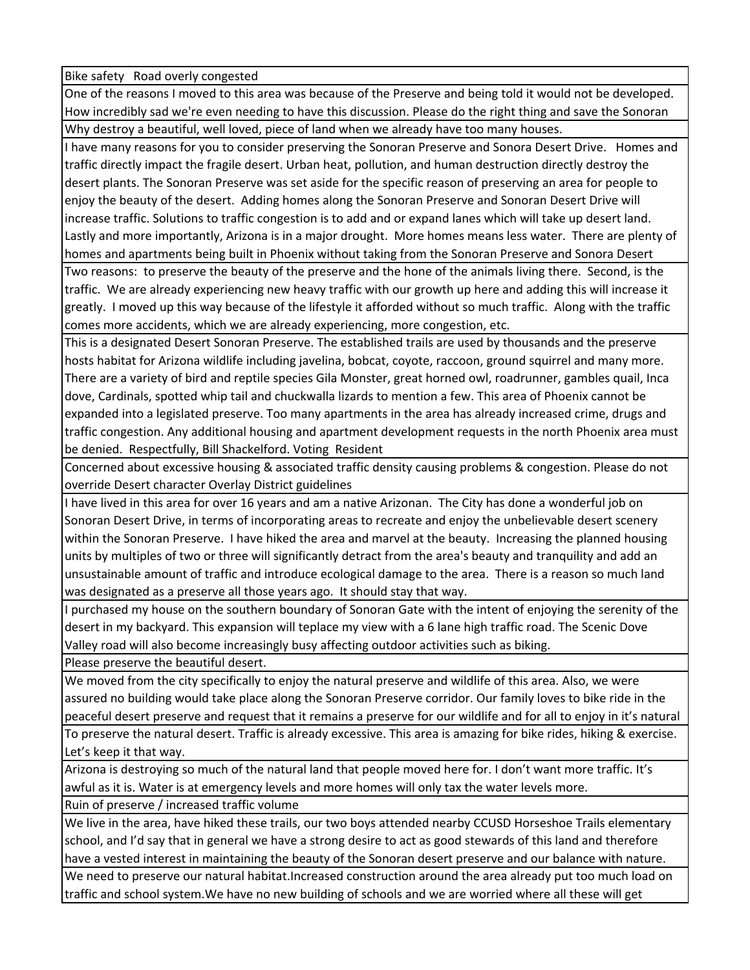Bike safety Road overly congested

One of the reasons I moved to this area was because of the Preserve and being told it would not be developed. How incredibly sad we're even needing to have this discussion. Please do the right thing and save the Sonoran Why destroy a beautiful, well loved, piece of land when we already have too many houses.

I have many reasons for you to consider preserving the Sonoran Preserve and Sonora Desert Drive. Homes and traffic directly impact the fragile desert. Urban heat, pollution, and human destruction directly destroy the desert plants. The Sonoran Preserve was set aside for the specific reason of preserving an area for people to enjoy the beauty of the desert. Adding homes along the Sonoran Preserve and Sonoran Desert Drive will increase traffic. Solutions to traffic congestion is to add and or expand lanes which will take up desert land. Lastly and more importantly, Arizona is in a major drought. More homes means less water. There are plenty of homes and apartments being built in Phoenix without taking from the Sonoran Preserve and Sonora Desert

Two reasons: to preserve the beauty of the preserve and the hone of the animals living there. Second, is the traffic. We are already experiencing new heavy traffic with our growth up here and adding this will increase it greatly. I moved up this way because of the lifestyle it afforded without so much traffic. Along with the traffic comes more accidents, which we are already experiencing, more congestion, etc.

This is a designated Desert Sonoran Preserve. The established trails are used by thousands and the preserve hosts habitat for Arizona wildlife including javelina, bobcat, coyote, raccoon, ground squirrel and many more. There are a variety of bird and reptile species Gila Monster, great horned owl, roadrunner, gambles quail, Inca dove, Cardinals, spotted whip tail and chuckwalla lizards to mention a few. This area of Phoenix cannot be expanded into a legislated preserve. Too many apartments in the area has already increased crime, drugs and traffic congestion. Any additional housing and apartment development requests in the north Phoenix area must be denied. Respectfully, Bill Shackelford. Voting Resident

Concerned about excessive housing & associated traffic density causing problems & congestion. Please do not override Desert character Overlay District guidelines

I have lived in this area for over 16 years and am a native Arizonan. The City has done a wonderful job on Sonoran Desert Drive, in terms of incorporating areas to recreate and enjoy the unbelievable desert scenery within the Sonoran Preserve. I have hiked the area and marvel at the beauty. Increasing the planned housing units by multiples of two or three will significantly detract from the area's beauty and tranquility and add an unsustainable amount of traffic and introduce ecological damage to the area. There is a reason so much land was designated as a preserve all those years ago. It should stay that way.

I purchased my house on the southern boundary of Sonoran Gate with the intent of enjoying the serenity of the desert in my backyard. This expansion will teplace my view with a 6 lane high traffic road. The Scenic Dove Valley road will also become increasingly busy affecting outdoor activities such as biking.

Please preserve the beautiful desert.

We moved from the city specifically to enjoy the natural preserve and wildlife of this area. Also, we were assured no building would take place along the Sonoran Preserve corridor. Our family loves to bike ride in the peaceful desert preserve and request that it remains a preserve for our wildlife and for all to enjoy in it's natural

To preserve the natural desert. Traffic is already excessive. This area is amazing for bike rides, hiking & exercise. Let's keep it that way.

Arizona is destroying so much of the natural land that people moved here for. I don't want more traffic. It's awful as it is. Water is at emergency levels and more homes will only tax the water levels more.

Ruin of preserve / increased traffic volume

We live in the area, have hiked these trails, our two boys attended nearby CCUSD Horseshoe Trails elementary school, and I'd say that in general we have a strong desire to act as good stewards of this land and therefore have a vested interest in maintaining the beauty of the Sonoran desert preserve and our balance with nature.

We need to preserve our natural habitat.Increased construction around the area already put too much load on traffic and school system.We have no new building of schools and we are worried where all these will get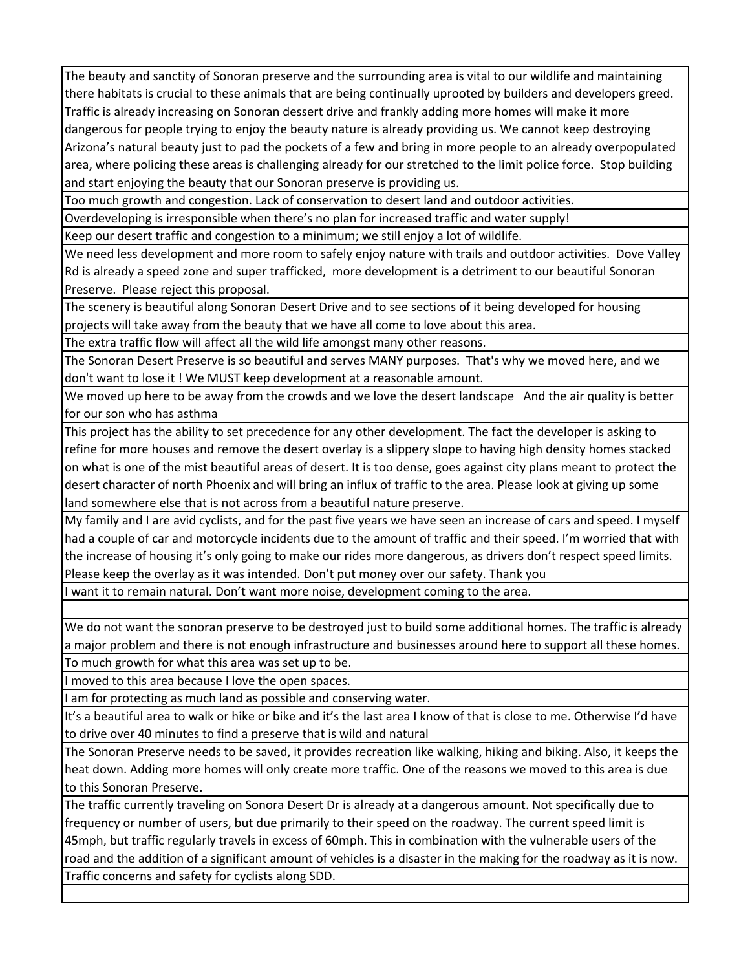The beauty and sanctity of Sonoran preserve and the surrounding area is vital to our wildlife and maintaining there habitats is crucial to these animals that are being continually uprooted by builders and developers greed. Traffic is already increasing on Sonoran dessert drive and frankly adding more homes will make it more dangerous for people trying to enjoy the beauty nature is already providing us. We cannot keep destroying Arizona's natural beauty just to pad the pockets of a few and bring in more people to an already overpopulated area, where policing these areas is challenging already for our stretched to the limit police force. Stop building and start enjoying the beauty that our Sonoran preserve is providing us.

Too much growth and congestion. Lack of conservation to desert land and outdoor activities.

Overdeveloping is irresponsible when there's no plan for increased traffic and water supply!

Keep our desert traffic and congestion to a minimum; we still enjoy a lot of wildlife.

We need less development and more room to safely enjoy nature with trails and outdoor activities. Dove Valley Rd is already a speed zone and super trafficked, more development is a detriment to our beautiful Sonoran Preserve. Please reject this proposal.

The scenery is beautiful along Sonoran Desert Drive and to see sections of it being developed for housing projects will take away from the beauty that we have all come to love about this area.

The extra traffic flow will affect all the wild life amongst many other reasons.

The Sonoran Desert Preserve is so beautiful and serves MANY purposes. That's why we moved here, and we don't want to lose it ! We MUST keep development at a reasonable amount.

We moved up here to be away from the crowds and we love the desert landscape And the air quality is better for our son who has asthma

This project has the ability to set precedence for any other development. The fact the developer is asking to refine for more houses and remove the desert overlay is a slippery slope to having high density homes stacked on what is one of the mist beautiful areas of desert. It is too dense, goes against city plans meant to protect the desert character of north Phoenix and will bring an influx of traffic to the area. Please look at giving up some land somewhere else that is not across from a beautiful nature preserve.

My family and I are avid cyclists, and for the past five years we have seen an increase of cars and speed. I myself had a couple of car and motorcycle incidents due to the amount of traffic and their speed. I'm worried that with the increase of housing it's only going to make our rides more dangerous, as drivers don't respect speed limits. Please keep the overlay as it was intended. Don't put money over our safety. Thank you

I want it to remain natural. Don't want more noise, development coming to the area.

We do not want the sonoran preserve to be destroyed just to build some additional homes. The traffic is already a major problem and there is not enough infrastructure and businesses around here to support all these homes. To much growth for what this area was set up to be.

I moved to this area because I love the open spaces.

I am for protecting as much land as possible and conserving water.

It's a beautiful area to walk or hike or bike and it's the last area I know of that is close to me. Otherwise I'd have to drive over 40 minutes to find a preserve that is wild and natural

The Sonoran Preserve needs to be saved, it provides recreation like walking, hiking and biking. Also, it keeps the heat down. Adding more homes will only create more traffic. One of the reasons we moved to this area is due to this Sonoran Preserve.

The traffic currently traveling on Sonora Desert Dr is already at a dangerous amount. Not specifically due to frequency or number of users, but due primarily to their speed on the roadway. The current speed limit is 45mph, but traffic regularly travels in excess of 60mph. This in combination with the vulnerable users of the road and the addition of a significant amount of vehicles is a disaster in the making for the roadway as it is now. Traffic concerns and safety for cyclists along SDD.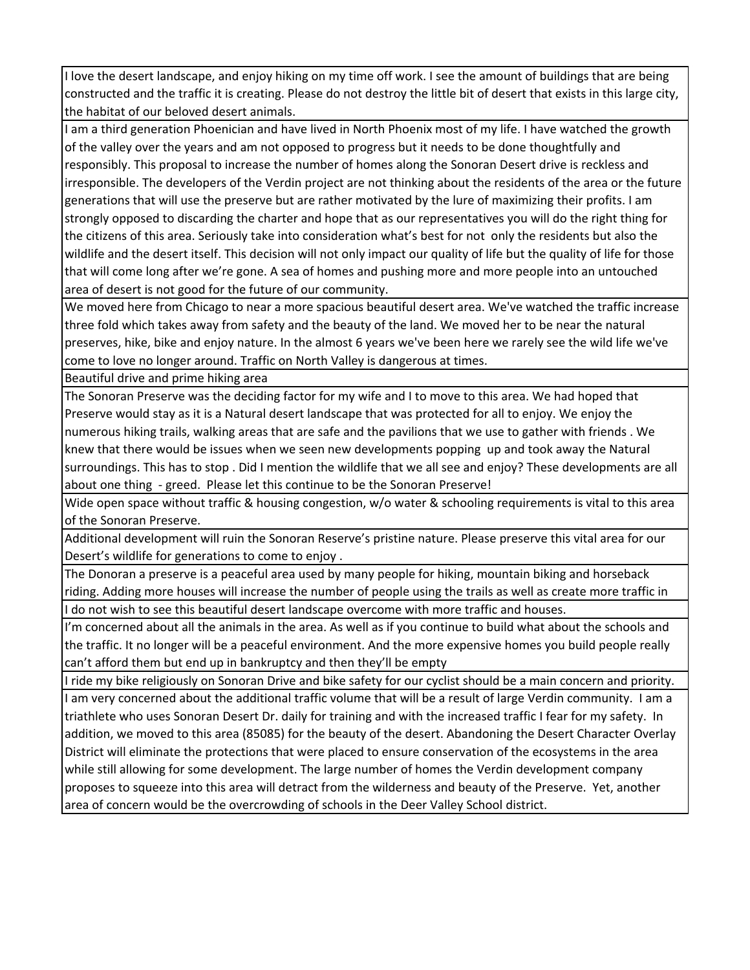I love the desert landscape, and enjoy hiking on my time off work. I see the amount of buildings that are being constructed and the traffic it is creating. Please do not destroy the little bit of desert that exists in this large city, the habitat of our beloved desert animals.

I am a third generation Phoenician and have lived in North Phoenix most of my life. I have watched the growth of the valley over the years and am not opposed to progress but it needs to be done thoughtfully and responsibly. This proposal to increase the number of homes along the Sonoran Desert drive is reckless and irresponsible. The developers of the Verdin project are not thinking about the residents of the area or the future generations that will use the preserve but are rather motivated by the lure of maximizing their profits. I am strongly opposed to discarding the charter and hope that as our representatives you will do the right thing for the citizens of this area. Seriously take into consideration what's best for not only the residents but also the wildlife and the desert itself. This decision will not only impact our quality of life but the quality of life for those that will come long after we're gone. A sea of homes and pushing more and more people into an untouched area of desert is not good for the future of our community.

We moved here from Chicago to near a more spacious beautiful desert area. We've watched the traffic increase three fold which takes away from safety and the beauty of the land. We moved her to be near the natural preserves, hike, bike and enjoy nature. In the almost 6 years we've been here we rarely see the wild life we've come to love no longer around. Traffic on North Valley is dangerous at times.

Beautiful drive and prime hiking area

The Sonoran Preserve was the deciding factor for my wife and I to move to this area. We had hoped that Preserve would stay as it is a Natural desert landscape that was protected for all to enjoy. We enjoy the numerous hiking trails, walking areas that are safe and the pavilions that we use to gather with friends . We knew that there would be issues when we seen new developments popping up and took away the Natural surroundings. This has to stop . Did I mention the wildlife that we all see and enjoy? These developments are all about one thing - greed. Please let this continue to be the Sonoran Preserve!

Wide open space without traffic & housing congestion, w/o water & schooling requirements is vital to this area of the Sonoran Preserve.

Additional development will ruin the Sonoran Reserve's pristine nature. Please preserve this vital area for our Desert's wildlife for generations to come to enjoy .

The Donoran a preserve is a peaceful area used by many people for hiking, mountain biking and horseback riding. Adding more houses will increase the number of people using the trails as well as create more traffic in I do not wish to see this beautiful desert landscape overcome with more traffic and houses.

I'm concerned about all the animals in the area. As well as if you continue to build what about the schools and the traffic. It no longer will be a peaceful environment. And the more expensive homes you build people really can't afford them but end up in bankruptcy and then they'll be empty

I ride my bike religiously on Sonoran Drive and bike safety for our cyclist should be a main concern and priority. I am very concerned about the additional traffic volume that will be a result of large Verdin community. I am a triathlete who uses Sonoran Desert Dr. daily for training and with the increased traffic I fear for my safety. In addition, we moved to this area (85085) for the beauty of the desert. Abandoning the Desert Character Overlay District will eliminate the protections that were placed to ensure conservation of the ecosystems in the area while still allowing for some development. The large number of homes the Verdin development company proposes to squeeze into this area will detract from the wilderness and beauty of the Preserve. Yet, another area of concern would be the overcrowding of schools in the Deer Valley School district.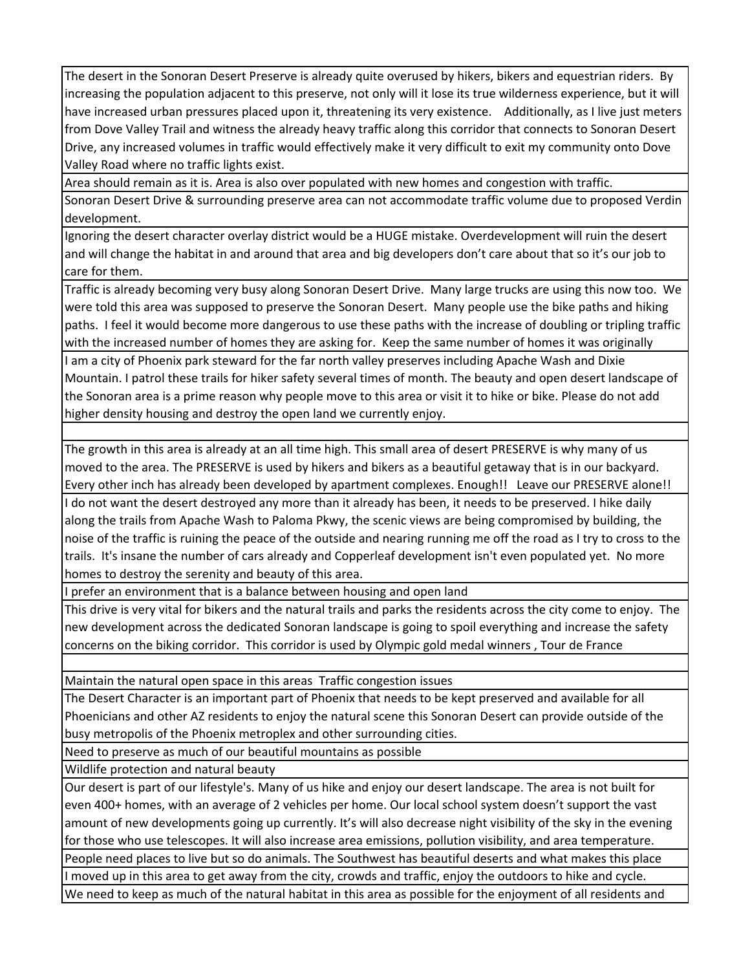The desert in the Sonoran Desert Preserve is already quite overused by hikers, bikers and equestrian riders. By increasing the population adjacent to this preserve, not only will it lose its true wilderness experience, but it will have increased urban pressures placed upon it, threatening its very existence. Additionally, as I live just meters from Dove Valley Trail and witness the already heavy traffic along this corridor that connects to Sonoran Desert Drive, any increased volumes in traffic would effectively make it very difficult to exit my community onto Dove Valley Road where no traffic lights exist.

Area should remain as it is. Area is also over populated with new homes and congestion with traffic.

Sonoran Desert Drive & surrounding preserve area can not accommodate traffic volume due to proposed Verdin development.

Ignoring the desert character overlay district would be a HUGE mistake. Overdevelopment will ruin the desert and will change the habitat in and around that area and big developers don't care about that so it's our job to care for them.

Traffic is already becoming very busy along Sonoran Desert Drive. Many large trucks are using this now too. We were told this area was supposed to preserve the Sonoran Desert. Many people use the bike paths and hiking paths. I feel it would become more dangerous to use these paths with the increase of doubling or tripling traffic with the increased number of homes they are asking for. Keep the same number of homes it was originally I am a city of Phoenix park steward for the far north valley preserves including Apache Wash and Dixie Mountain. I patrol these trails for hiker safety several times of month. The beauty and open desert landscape of the Sonoran area is a prime reason why people move to this area or visit it to hike or bike. Please do not add higher density housing and destroy the open land we currently enjoy.

The growth in this area is already at an all time high. This small area of desert PRESERVE is why many of us moved to the area. The PRESERVE is used by hikers and bikers as a beautiful getaway that is in our backyard. Every other inch has already been developed by apartment complexes. Enough!! Leave our PRESERVE alone!! I do not want the desert destroyed any more than it already has been, it needs to be preserved. I hike daily along the trails from Apache Wash to Paloma Pkwy, the scenic views are being compromised by building, the noise of the traffic is ruining the peace of the outside and nearing running me off the road as I try to cross to the trails. It's insane the number of cars already and Copperleaf development isn't even populated yet. No more homes to destroy the serenity and beauty of this area.

I prefer an environment that is a balance between housing and open land

This drive is very vital for bikers and the natural trails and parks the residents across the city come to enjoy. The new development across the dedicated Sonoran landscape is going to spoil everything and increase the safety concerns on the biking corridor. This corridor is used by Olympic gold medal winners , Tour de France

Maintain the natural open space in this areas Traffic congestion issues

The Desert Character is an important part of Phoenix that needs to be kept preserved and available for all Phoenicians and other AZ residents to enjoy the natural scene this Sonoran Desert can provide outside of the busy metropolis of the Phoenix metroplex and other surrounding cities.

Need to preserve as much of our beautiful mountains as possible

Wildlife protection and natural beauty

Our desert is part of our lifestyle's. Many of us hike and enjoy our desert landscape. The area is not built for even 400+ homes, with an average of 2 vehicles per home. Our local school system doesn't support the vast amount of new developments going up currently. It's will also decrease night visibility of the sky in the evening for those who use telescopes. It will also increase area emissions, pollution visibility, and area temperature.

People need places to live but so do animals. The Southwest has beautiful deserts and what makes this place

moved up in this area to get away from the city, crowds and traffic, enjoy the outdoors to hike and cycle. We need to keep as much of the natural habitat in this area as possible for the enjoyment of all residents and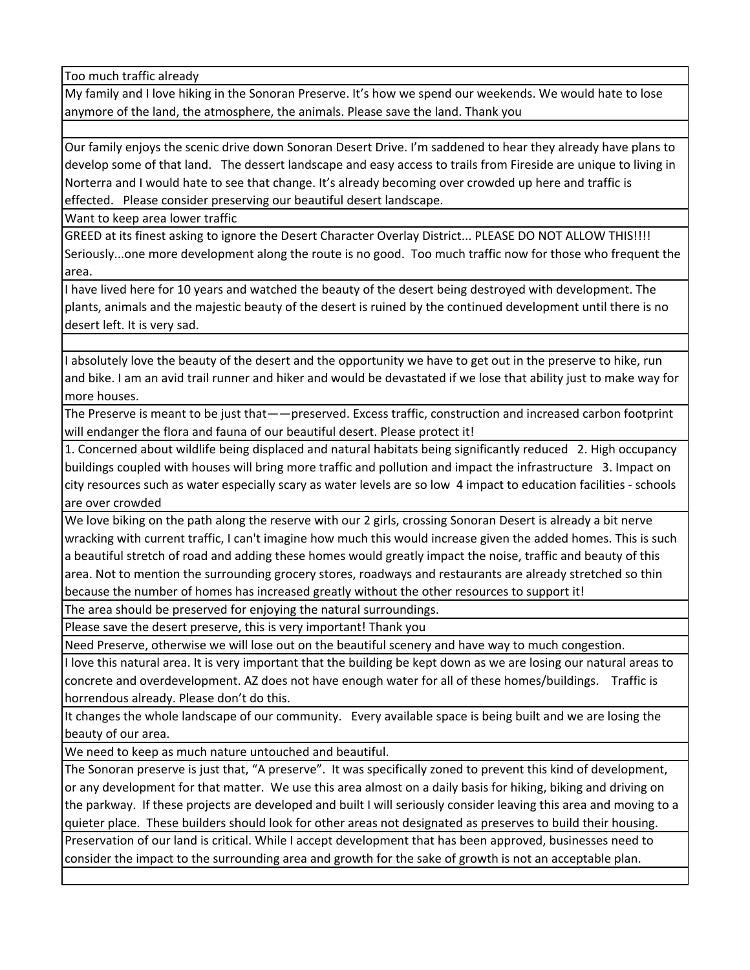Too much traffic already

My family and I love hiking in the Sonoran Preserve. It's how we spend our weekends. We would hate to lose anymore of the land, the atmosphere, the animals. Please save the land. Thank you

Our family enjoys the scenic drive down Sonoran Desert Drive. I'm saddened to hear they already have plans to develop some of that land. The dessert landscape and easy access to trails from Fireside are unique to living in Norterra and I would hate to see that change. It's already becoming over crowded up here and traffic is effected. Please consider preserving our beautiful desert landscape.

Want to keep area lower traffic

GREED at its finest asking to ignore the Desert Character Overlay District... PLEASE DO NOT ALLOW THIS!!!! Seriously...one more development along the route is no good. Too much traffic now for those who frequent the area.

I have lived here for 10 years and watched the beauty of the desert being destroyed with development. The plants, animals and the majestic beauty of the desert is ruined by the continued development until there is no desert left. It is very sad.

I absolutely love the beauty of the desert and the opportunity we have to get out in the preserve to hike, run and bike. I am an avid trail runner and hiker and would be devastated if we lose that ability just to make way for more houses.

The Preserve is meant to be just that——preserved. Excess traffic, construction and increased carbon footprint will endanger the flora and fauna of our beautiful desert. Please protect it!

1. Concerned about wildlife being displaced and natural habitats being significantly reduced 2. High occupancy buildings coupled with houses will bring more traffic and pollution and impact the infrastructure 3. Impact on city resources such as water especially scary as water levels are so low 4 impact to education facilities ‐ schools are over crowded

We love biking on the path along the reserve with our 2 girls, crossing Sonoran Desert is already a bit nerve wracking with current traffic, I can't imagine how much this would increase given the added homes. This is such a beautiful stretch of road and adding these homes would greatly impact the noise, traffic and beauty of this area. Not to mention the surrounding grocery stores, roadways and restaurants are already stretched so thin because the number of homes has increased greatly without the other resources to support it!

The area should be preserved for enjoying the natural surroundings.

Please save the desert preserve, this is very important! Thank you

Need Preserve, otherwise we will lose out on the beautiful scenery and have way to much congestion.

I love this natural area. It is very important that the building be kept down as we are losing our natural areas to concrete and overdevelopment. AZ does not have enough water for all of these homes/buildings. Traffic is horrendous already. Please don't do this.

It changes the whole landscape of our community. Every available space is being built and we are losing the beauty of our area.

We need to keep as much nature untouched and beautiful.

The Sonoran preserve is just that, "A preserve". It was specifically zoned to prevent this kind of development, or any development for that matter. We use this area almost on a daily basis for hiking, biking and driving on the parkway. If these projects are developed and built I will seriously consider leaving this area and moving to a quieter place. These builders should look for other areas not designated as preserves to build their housing.

Preservation of our land is critical. While I accept development that has been approved, businesses need to consider the impact to the surrounding area and growth for the sake of growth is not an acceptable plan.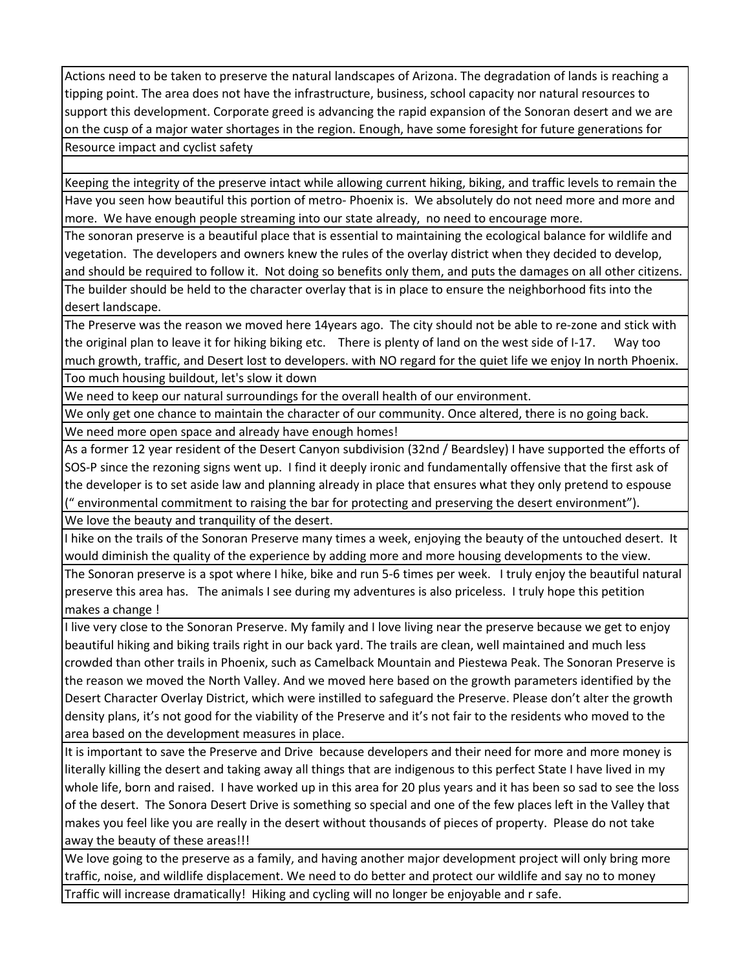Actions need to be taken to preserve the natural landscapes of Arizona. The degradation of lands is reaching a tipping point. The area does not have the infrastructure, business, school capacity nor natural resources to support this development. Corporate greed is advancing the rapid expansion of the Sonoran desert and we are on the cusp of a major water shortages in the region. Enough, have some foresight for future generations for Resource impact and cyclist safety

Keeping the integrity of the preserve intact while allowing current hiking, biking, and traffic levels to remain the Have you seen how beautiful this portion of metro‐ Phoenix is. We absolutely do not need more and more and more. We have enough people streaming into our state already, no need to encourage more.

The sonoran preserve is a beautiful place that is essential to maintaining the ecological balance for wildlife and vegetation. The developers and owners knew the rules of the overlay district when they decided to develop, and should be required to follow it. Not doing so benefits only them, and puts the damages on all other citizens.

The builder should be held to the character overlay that is in place to ensure the neighborhood fits into the desert landscape.

The Preserve was the reason we moved here 14years ago. The city should not be able to re‐zone and stick with the original plan to leave it for hiking biking etc. There is plenty of land on the west side of I-17. Way too much growth, traffic, and Desert lost to developers. with NO regard for the quiet life we enjoy In north Phoenix. Too much housing buildout, let's slow it down

We need to keep our natural surroundings for the overall health of our environment.

We only get one chance to maintain the character of our community. Once altered, there is no going back. We need more open space and already have enough homes!

As a former 12 year resident of the Desert Canyon subdivision (32nd / Beardsley) I have supported the efforts of SOS‐P since the rezoning signs went up. I find it deeply ironic and fundamentally offensive that the first ask of the developer is to set aside law and planning already in place that ensures what they only pretend to espouse (" environmental commitment to raising the bar for protecting and preserving the desert environment"). We love the beauty and tranquility of the desert.

I hike on the trails of the Sonoran Preserve many times a week, enjoying the beauty of the untouched desert. It would diminish the quality of the experience by adding more and more housing developments to the view.

The Sonoran preserve is a spot where I hike, bike and run 5‐6 times per week. I truly enjoy the beautiful natural preserve this area has. The animals I see during my adventures is also priceless. I truly hope this petition makes a change !

I live very close to the Sonoran Preserve. My family and I love living near the preserve because we get to enjoy beautiful hiking and biking trails right in our back yard. The trails are clean, well maintained and much less crowded than other trails in Phoenix, such as Camelback Mountain and Piestewa Peak. The Sonoran Preserve is the reason we moved the North Valley. And we moved here based on the growth parameters identified by the Desert Character Overlay District, which were instilled to safeguard the Preserve. Please don't alter the growth density plans, it's not good for the viability of the Preserve and it's not fair to the residents who moved to the area based on the development measures in place.

It is important to save the Preserve and Drive because developers and their need for more and more money is literally killing the desert and taking away all things that are indigenous to this perfect State I have lived in my whole life, born and raised. I have worked up in this area for 20 plus years and it has been so sad to see the loss of the desert. The Sonora Desert Drive is something so special and one of the few places left in the Valley that makes you feel like you are really in the desert without thousands of pieces of property. Please do not take away the beauty of these areas!!!

We love going to the preserve as a family, and having another major development project will only bring more traffic, noise, and wildlife displacement. We need to do better and protect our wildlife and say no to money Traffic will increase dramatically! Hiking and cycling will no longer be enjoyable and r safe.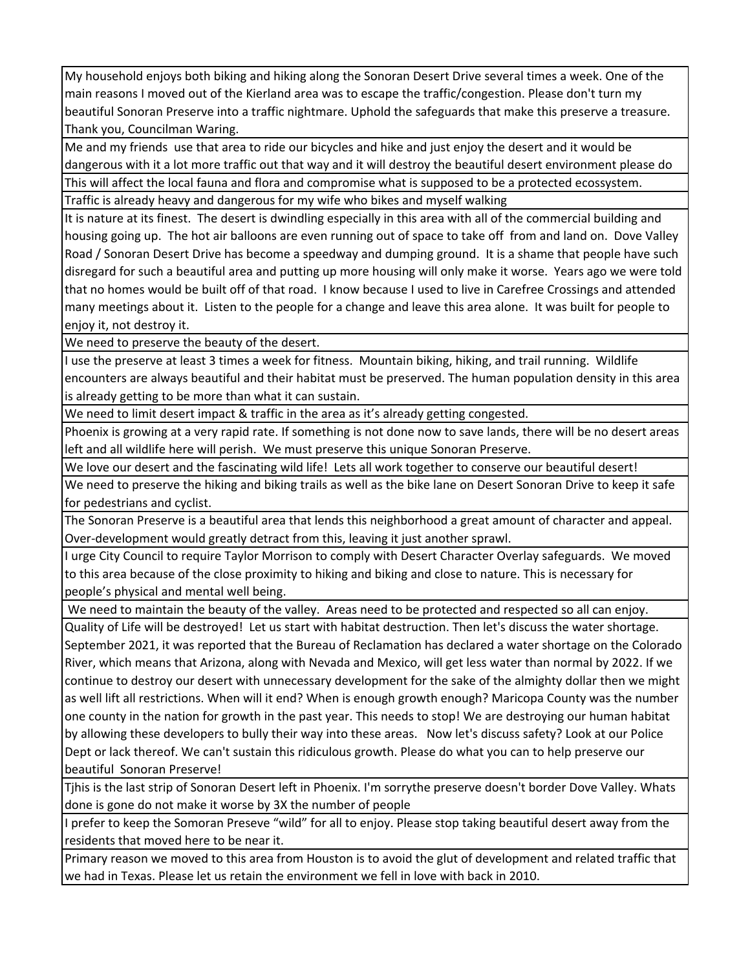My household enjoys both biking and hiking along the Sonoran Desert Drive several times a week. One of the main reasons I moved out of the Kierland area was to escape the traffic/congestion. Please don't turn my beautiful Sonoran Preserve into a traffic nightmare. Uphold the safeguards that make this preserve a treasure. Thank you, Councilman Waring.

Me and my friends use that area to ride our bicycles and hike and just enjoy the desert and it would be dangerous with it a lot more traffic out that way and it will destroy the beautiful desert environment please do This will affect the local fauna and flora and compromise what is supposed to be a protected ecossystem. Traffic is already heavy and dangerous for my wife who bikes and myself walking

It is nature at its finest. The desert is dwindling especially in this area with all of the commercial building and housing going up. The hot air balloons are even running out of space to take off from and land on. Dove Valley Road / Sonoran Desert Drive has become a speedway and dumping ground. It is a shame that people have such disregard for such a beautiful area and putting up more housing will only make it worse. Years ago we were told that no homes would be built off of that road. I know because I used to live in Carefree Crossings and attended many meetings about it. Listen to the people for a change and leave this area alone. It was built for people to enjoy it, not destroy it.

We need to preserve the beauty of the desert.

I use the preserve at least 3 times a week for fitness. Mountain biking, hiking, and trail running. Wildlife encounters are always beautiful and their habitat must be preserved. The human population density in this area is already getting to be more than what it can sustain.

We need to limit desert impact & traffic in the area as it's already getting congested.

Phoenix is growing at a very rapid rate. If something is not done now to save lands, there will be no desert areas left and all wildlife here will perish. We must preserve this unique Sonoran Preserve.

We love our desert and the fascinating wild life! Lets all work together to conserve our beautiful desert!

We need to preserve the hiking and biking trails as well as the bike lane on Desert Sonoran Drive to keep it safe for pedestrians and cyclist.

The Sonoran Preserve is a beautiful area that lends this neighborhood a great amount of character and appeal. Over-development would greatly detract from this, leaving it just another sprawl.

I urge City Council to require Taylor Morrison to comply with Desert Character Overlay safeguards. We moved to this area because of the close proximity to hiking and biking and close to nature. This is necessary for people's physical and mental well being.

We need to maintain the beauty of the valley. Areas need to be protected and respected so all can enjoy.

Quality of Life will be destroyed! Let us start with habitat destruction. Then let's discuss the water shortage. September 2021, it was reported that the Bureau of Reclamation has declared a water shortage on the Colorado River, which means that Arizona, along with Nevada and Mexico, will get less water than normal by 2022. If we continue to destroy our desert with unnecessary development for the sake of the almighty dollar then we might as well lift all restrictions. When will it end? When is enough growth enough? Maricopa County was the number one county in the nation for growth in the past year. This needs to stop! We are destroying our human habitat by allowing these developers to bully their way into these areas. Now let's discuss safety? Look at our Police Dept or lack thereof. We can't sustain this ridiculous growth. Please do what you can to help preserve our beautiful Sonoran Preserve!

Tjhis is the last strip of Sonoran Desert left in Phoenix. I'm sorrythe preserve doesn't border Dove Valley. Whats done is gone do not make it worse by 3X the number of people

I prefer to keep the Somoran Preseve "wild" for all to enjoy. Please stop taking beautiful desert away from the residents that moved here to be near it.

Primary reason we moved to this area from Houston is to avoid the glut of development and related traffic that we had in Texas. Please let us retain the environment we fell in love with back in 2010.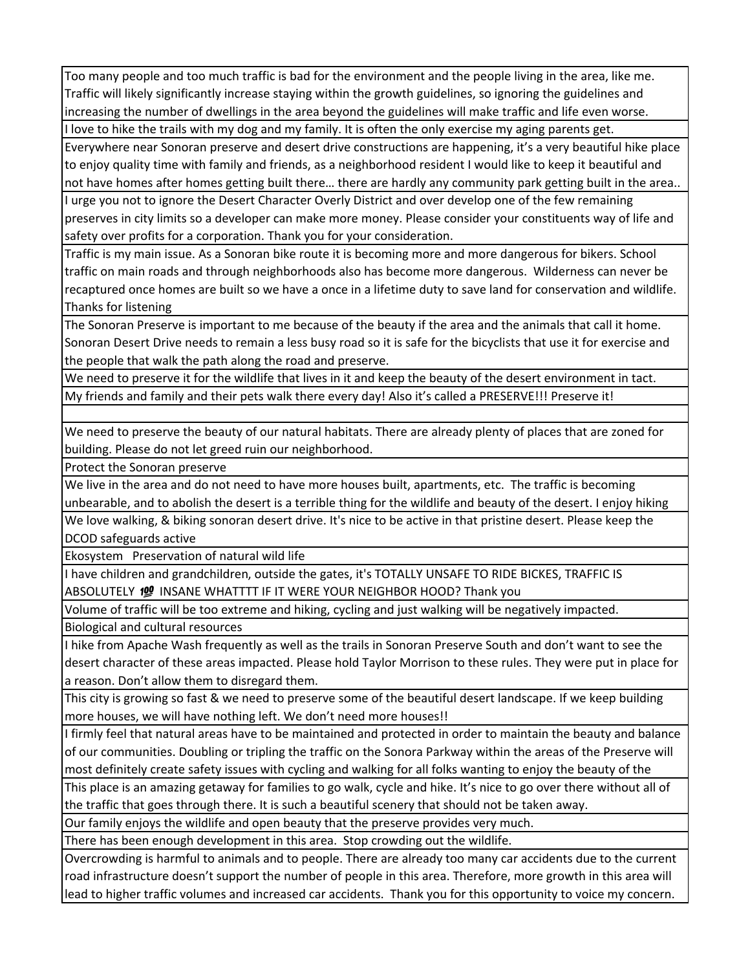Too many people and too much traffic is bad for the environment and the people living in the area, like me. Traffic will likely significantly increase staying within the growth guidelines, so ignoring the guidelines and increasing the number of dwellings in the area beyond the guidelines will make traffic and life even worse. I love to hike the trails with my dog and my family. It is often the only exercise my aging parents get.

Everywhere near Sonoran preserve and desert drive constructions are happening, it's a very beautiful hike place to enjoy quality time with family and friends, as a neighborhood resident I would like to keep it beautiful and not have homes after homes getting built there… there are hardly any community park getting built in the area.. I urge you not to ignore the Desert Character Overly District and over develop one of the few remaining preserves in city limits so a developer can make more money. Please consider your constituents way of life and safety over profits for a corporation. Thank you for your consideration.

Traffic is my main issue. As a Sonoran bike route it is becoming more and more dangerous for bikers. School traffic on main roads and through neighborhoods also has become more dangerous. Wilderness can never be recaptured once homes are built so we have a once in a lifetime duty to save land for conservation and wildlife. Thanks for listening

The Sonoran Preserve is important to me because of the beauty if the area and the animals that call it home. Sonoran Desert Drive needs to remain a less busy road so it is safe for the bicyclists that use it for exercise and the people that walk the path along the road and preserve.

We need to preserve it for the wildlife that lives in it and keep the beauty of the desert environment in tact. My friends and family and their pets walk there every day! Also it's called a PRESERVE!!! Preserve it!

We need to preserve the beauty of our natural habitats. There are already plenty of places that are zoned for building. Please do not let greed ruin our neighborhood.

Protect the Sonoran preserve

We live in the area and do not need to have more houses built, apartments, etc. The traffic is becoming unbearable, and to abolish the desert is a terrible thing for the wildlife and beauty of the desert. I enjoy hiking

We love walking, & biking sonoran desert drive. It's nice to be active in that pristine desert. Please keep the DCOD safeguards active

Ekosystem Preservation of natural wild life

I have children and grandchildren, outside the gates, it's TOTALLY UNSAFE TO RIDE BICKES, TRAFFIC IS ABSOLUTELY 19 INSANE WHATTTT IF IT WERE YOUR NEIGHBOR HOOD? Thank you

Volume of traffic will be too extreme and hiking, cycling and just walking will be negatively impacted.

Biological and cultural resources

I hike from Apache Wash frequently as well as the trails in Sonoran Preserve South and don't want to see the desert character of these areas impacted. Please hold Taylor Morrison to these rules. They were put in place for a reason. Don't allow them to disregard them.

This city is growing so fast & we need to preserve some of the beautiful desert landscape. If we keep building more houses, we will have nothing left. We don't need more houses!!

I firmly feel that natural areas have to be maintained and protected in order to maintain the beauty and balance of our communities. Doubling or tripling the traffic on the Sonora Parkway within the areas of the Preserve will most definitely create safety issues with cycling and walking for all folks wanting to enjoy the beauty of the

This place is an amazing getaway for families to go walk, cycle and hike. It's nice to go over there without all of the traffic that goes through there. It is such a beautiful scenery that should not be taken away.

Our family enjoys the wildlife and open beauty that the preserve provides very much.

There has been enough development in this area. Stop crowding out the wildlife.

Overcrowding is harmful to animals and to people. There are already too many car accidents due to the current road infrastructure doesn't support the number of people in this area. Therefore, more growth in this area will lead to higher traffic volumes and increased car accidents. Thank you for this opportunity to voice my concern.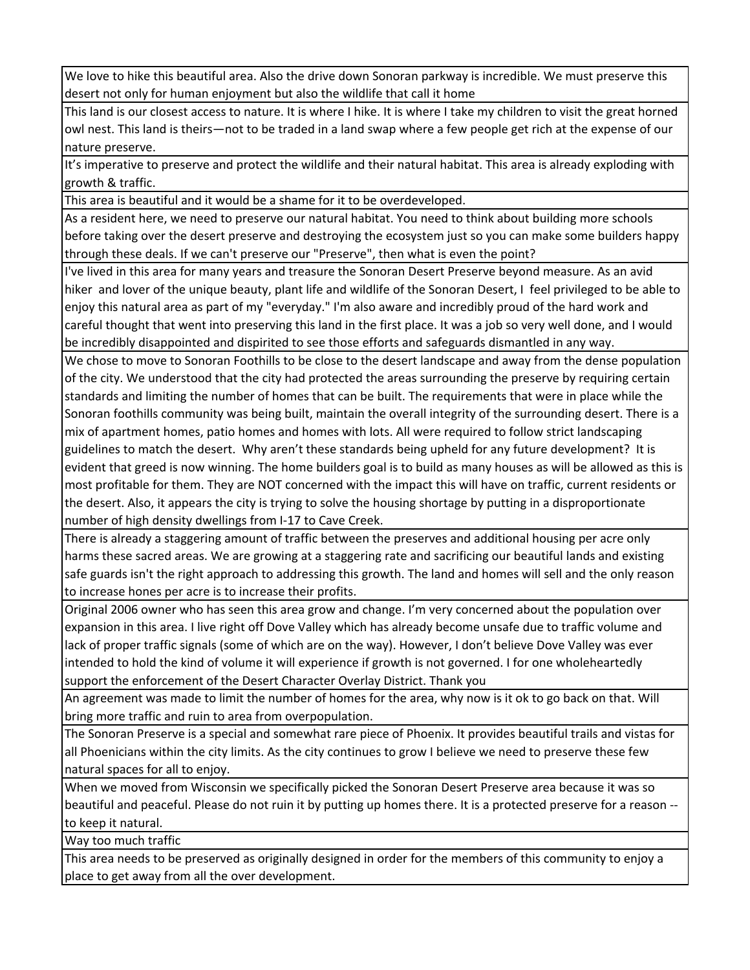We love to hike this beautiful area. Also the drive down Sonoran parkway is incredible. We must preserve this desert not only for human enjoyment but also the wildlife that call it home

This land is our closest access to nature. It is where I hike. It is where I take my children to visit the great horned owl nest. This land is theirs—not to be traded in a land swap where a few people get rich at the expense of our nature preserve.

It's imperative to preserve and protect the wildlife and their natural habitat. This area is already exploding with growth & traffic.

This area is beautiful and it would be a shame for it to be overdeveloped.

As a resident here, we need to preserve our natural habitat. You need to think about building more schools before taking over the desert preserve and destroying the ecosystem just so you can make some builders happy through these deals. If we can't preserve our "Preserve", then what is even the point?

I've lived in this area for many years and treasure the Sonoran Desert Preserve beyond measure. As an avid hiker and lover of the unique beauty, plant life and wildlife of the Sonoran Desert, I feel privileged to be able to enjoy this natural area as part of my "everyday." I'm also aware and incredibly proud of the hard work and careful thought that went into preserving this land in the first place. It was a job so very well done, and I would be incredibly disappointed and dispirited to see those efforts and safeguards dismantled in any way.

We chose to move to Sonoran Foothills to be close to the desert landscape and away from the dense population of the city. We understood that the city had protected the areas surrounding the preserve by requiring certain standards and limiting the number of homes that can be built. The requirements that were in place while the Sonoran foothills community was being built, maintain the overall integrity of the surrounding desert. There is a mix of apartment homes, patio homes and homes with lots. All were required to follow strict landscaping guidelines to match the desert. Why aren't these standards being upheld for any future development? It is evident that greed is now winning. The home builders goal is to build as many houses as will be allowed as this is most profitable for them. They are NOT concerned with the impact this will have on traffic, current residents or the desert. Also, it appears the city is trying to solve the housing shortage by putting in a disproportionate number of high density dwellings from I‐17 to Cave Creek.

There is already a staggering amount of traffic between the preserves and additional housing per acre only harms these sacred areas. We are growing at a staggering rate and sacrificing our beautiful lands and existing safe guards isn't the right approach to addressing this growth. The land and homes will sell and the only reason to increase hones per acre is to increase their profits.

Original 2006 owner who has seen this area grow and change. I'm very concerned about the population over expansion in this area. I live right off Dove Valley which has already become unsafe due to traffic volume and lack of proper traffic signals (some of which are on the way). However, I don't believe Dove Valley was ever intended to hold the kind of volume it will experience if growth is not governed. I for one wholeheartedly support the enforcement of the Desert Character Overlay District. Thank you

An agreement was made to limit the number of homes for the area, why now is it ok to go back on that. Will bring more traffic and ruin to area from overpopulation.

The Sonoran Preserve is a special and somewhat rare piece of Phoenix. It provides beautiful trails and vistas for all Phoenicians within the city limits. As the city continues to grow I believe we need to preserve these few natural spaces for all to enjoy.

When we moved from Wisconsin we specifically picked the Sonoran Desert Preserve area because it was so beautiful and peaceful. Please do not ruin it by putting up homes there. It is a protected preserve for a reason ‐‐ to keep it natural.

Way too much traffic

This area needs to be preserved as originally designed in order for the members of this community to enjoy a place to get away from all the over development.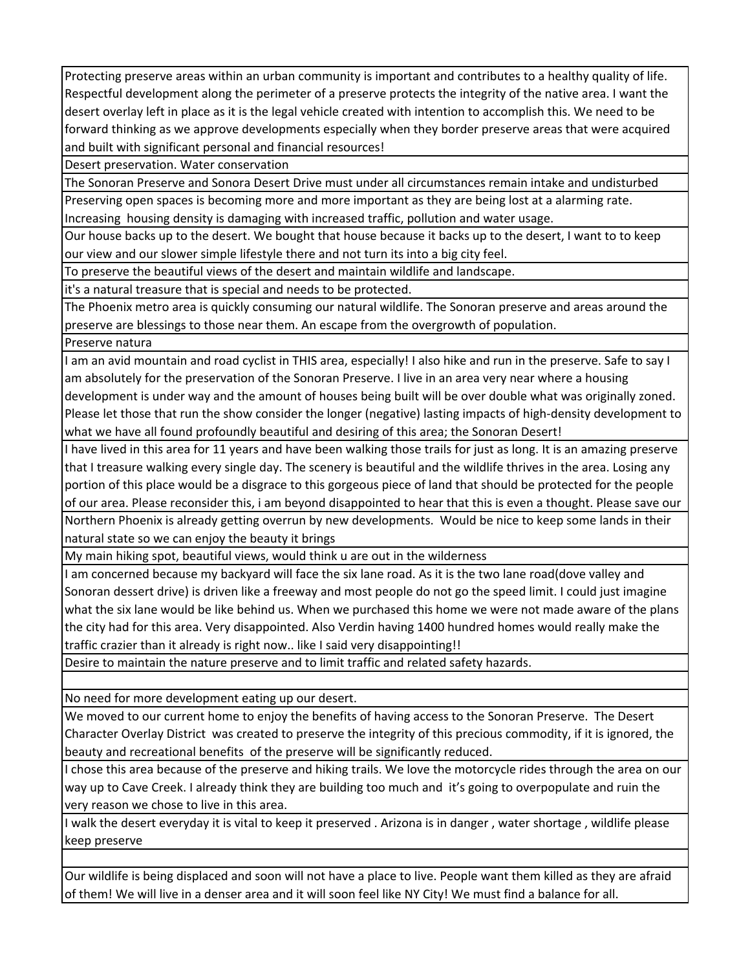Protecting preserve areas within an urban community is important and contributes to a healthy quality of life. Respectful development along the perimeter of a preserve protects the integrity of the native area. I want the desert overlay left in place as it is the legal vehicle created with intention to accomplish this. We need to be forward thinking as we approve developments especially when they border preserve areas that were acquired and built with significant personal and financial resources!

Desert preservation. Water conservation

The Sonoran Preserve and Sonora Desert Drive must under all circumstances remain intake and undisturbed Preserving open spaces is becoming more and more important as they are being lost at a alarming rate. Increasing housing density is damaging with increased traffic, pollution and water usage.

Our house backs up to the desert. We bought that house because it backs up to the desert, I want to to keep our view and our slower simple lifestyle there and not turn its into a big city feel.

To preserve the beautiful views of the desert and maintain wildlife and landscape.

it's a natural treasure that is special and needs to be protected.

The Phoenix metro area is quickly consuming our natural wildlife. The Sonoran preserve and areas around the preserve are blessings to those near them. An escape from the overgrowth of population.

Preserve natura

I am an avid mountain and road cyclist in THIS area, especially! I also hike and run in the preserve. Safe to say I am absolutely for the preservation of the Sonoran Preserve. I live in an area very near where a housing development is under way and the amount of houses being built will be over double what was originally zoned. Please let those that run the show consider the longer (negative) lasting impacts of high‐density development to what we have all found profoundly beautiful and desiring of this area; the Sonoran Desert!

I have lived in this area for 11 years and have been walking those trails for just as long. It is an amazing preserve that I treasure walking every single day. The scenery is beautiful and the wildlife thrives in the area. Losing any portion of this place would be a disgrace to this gorgeous piece of land that should be protected for the people of our area. Please reconsider this, i am beyond disappointed to hear that this is even a thought. Please save our Northern Phoenix is already getting overrun by new developments. Would be nice to keep some lands in their natural state so we can enjoy the beauty it brings

My main hiking spot, beautiful views, would think u are out in the wilderness

I am concerned because my backyard will face the six lane road. As it is the two lane road(dove valley and Sonoran dessert drive) is driven like a freeway and most people do not go the speed limit. I could just imagine what the six lane would be like behind us. When we purchased this home we were not made aware of the plans the city had for this area. Very disappointed. Also Verdin having 1400 hundred homes would really make the traffic crazier than it already is right now.. like I said very disappointing!!

Desire to maintain the nature preserve and to limit traffic and related safety hazards.

No need for more development eating up our desert.

We moved to our current home to enjoy the benefits of having access to the Sonoran Preserve. The Desert Character Overlay District was created to preserve the integrity of this precious commodity, if it is ignored, the beauty and recreational benefits of the preserve will be significantly reduced.

I chose this area because of the preserve and hiking trails. We love the motorcycle rides through the area on our way up to Cave Creek. I already think they are building too much and it's going to overpopulate and ruin the very reason we chose to live in this area.

I walk the desert everyday it is vital to keep it preserved . Arizona is in danger , water shortage , wildlife please keep preserve

Our wildlife is being displaced and soon will not have a place to live. People want them killed as they are afraid of them! We will live in a denser area and it will soon feel like NY City! We must find a balance for all.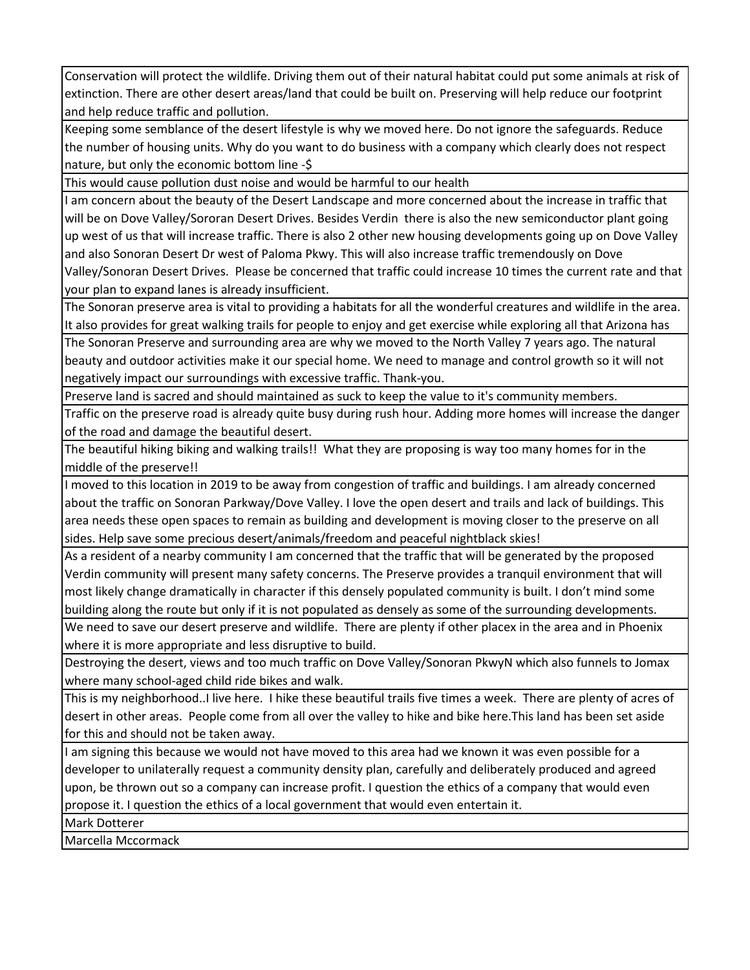Conservation will protect the wildlife. Driving them out of their natural habitat could put some animals at risk of extinction. There are other desert areas/land that could be built on. Preserving will help reduce our footprint and help reduce traffic and pollution.

Keeping some semblance of the desert lifestyle is why we moved here. Do not ignore the safeguards. Reduce the number of housing units. Why do you want to do business with a company which clearly does not respect nature, but only the economic bottom line ‐\$

This would cause pollution dust noise and would be harmful to our health

I am concern about the beauty of the Desert Landscape and more concerned about the increase in traffic that will be on Dove Valley/Sororan Desert Drives. Besides Verdin there is also the new semiconductor plant going up west of us that will increase traffic. There is also 2 other new housing developments going up on Dove Valley and also Sonoran Desert Dr west of Paloma Pkwy. This will also increase traffic tremendously on Dove Valley/Sonoran Desert Drives. Please be concerned that traffic could increase 10 times the current rate and that your plan to expand lanes is already insufficient.

The Sonoran preserve area is vital to providing a habitats for all the wonderful creatures and wildlife in the area. It also provides for great walking trails for people to enjoy and get exercise while exploring all that Arizona has

The Sonoran Preserve and surrounding area are why we moved to the North Valley 7 years ago. The natural beauty and outdoor activities make it our special home. We need to manage and control growth so it will not negatively impact our surroundings with excessive traffic. Thank‐you.

Preserve land is sacred and should maintained as suck to keep the value to it's community members.

Traffic on the preserve road is already quite busy during rush hour. Adding more homes will increase the danger of the road and damage the beautiful desert.

The beautiful hiking biking and walking trails!! What they are proposing is way too many homes for in the middle of the preserve!!

I moved to this location in 2019 to be away from congestion of traffic and buildings. I am already concerned about the traffic on Sonoran Parkway/Dove Valley. I love the open desert and trails and lack of buildings. This area needs these open spaces to remain as building and development is moving closer to the preserve on all sides. Help save some precious desert/animals/freedom and peaceful nightblack skies!

As a resident of a nearby community I am concerned that the traffic that will be generated by the proposed Verdin community will present many safety concerns. The Preserve provides a tranquil environment that will most likely change dramatically in character if this densely populated community is built. I don't mind some building along the route but only if it is not populated as densely as some of the surrounding developments.

We need to save our desert preserve and wildlife. There are plenty if other placex in the area and in Phoenix where it is more appropriate and less disruptive to build.

Destroying the desert, views and too much traffic on Dove Valley/Sonoran PkwyN which also funnels to Jomax where many school-aged child ride bikes and walk.

This is my neighborhood..I live here. I hike these beautiful trails five times a week. There are plenty of acres of desert in other areas. People come from all over the valley to hike and bike here.This land has been set aside for this and should not be taken away.

I am signing this because we would not have moved to this area had we known it was even possible for a developer to unilaterally request a community density plan, carefully and deliberately produced and agreed upon, be thrown out so a company can increase profit. I question the ethics of a company that would even propose it. I question the ethics of a local government that would even entertain it.

Mark Dotterer

Marcella Mccormack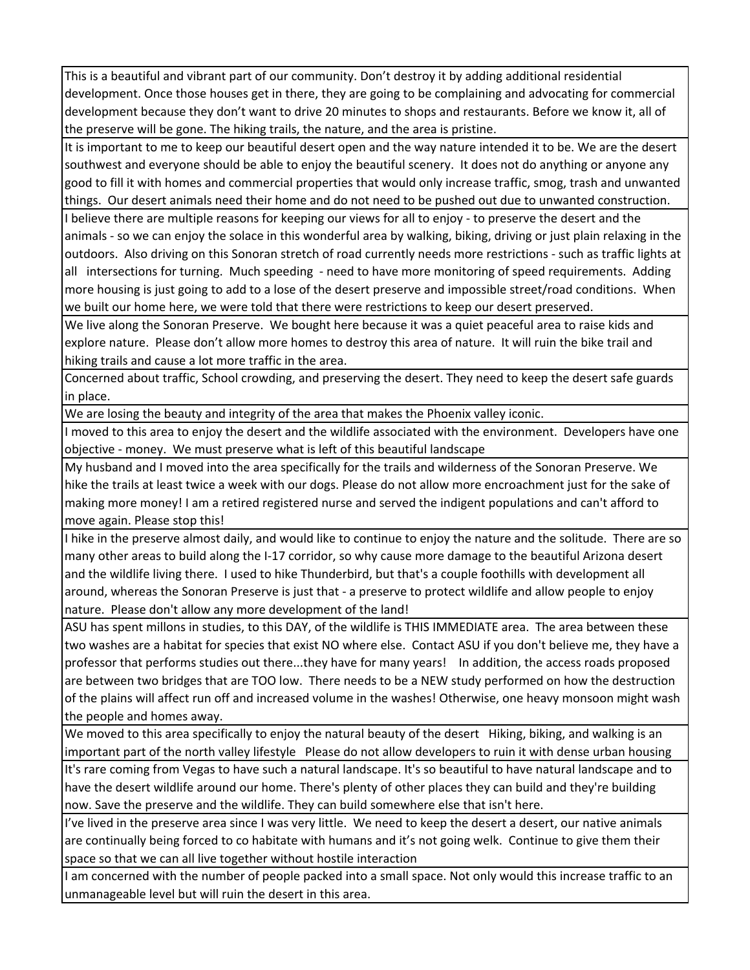This is a beautiful and vibrant part of our community. Don't destroy it by adding additional residential development. Once those houses get in there, they are going to be complaining and advocating for commercial development because they don't want to drive 20 minutes to shops and restaurants. Before we know it, all of the preserve will be gone. The hiking trails, the nature, and the area is pristine.

It is important to me to keep our beautiful desert open and the way nature intended it to be. We are the desert southwest and everyone should be able to enjoy the beautiful scenery. It does not do anything or anyone any good to fill it with homes and commercial properties that would only increase traffic, smog, trash and unwanted things. Our desert animals need their home and do not need to be pushed out due to unwanted construction.

I believe there are multiple reasons for keeping our views for all to enjoy ‐ to preserve the desert and the animals ‐ so we can enjoy the solace in this wonderful area by walking, biking, driving or just plain relaxing in the outdoors. Also driving on this Sonoran stretch of road currently needs more restrictions ‐ such as traffic lights at all intersections for turning. Much speeding ‐ need to have more monitoring of speed requirements. Adding more housing is just going to add to a lose of the desert preserve and impossible street/road conditions. When we built our home here, we were told that there were restrictions to keep our desert preserved.

We live along the Sonoran Preserve. We bought here because it was a quiet peaceful area to raise kids and explore nature. Please don't allow more homes to destroy this area of nature. It will ruin the bike trail and hiking trails and cause a lot more traffic in the area.

Concerned about traffic, School crowding, and preserving the desert. They need to keep the desert safe guards in place.

We are losing the beauty and integrity of the area that makes the Phoenix valley iconic.

I moved to this area to enjoy the desert and the wildlife associated with the environment. Developers have one objective ‐ money. We must preserve what is left of this beautiful landscape

My husband and I moved into the area specifically for the trails and wilderness of the Sonoran Preserve. We hike the trails at least twice a week with our dogs. Please do not allow more encroachment just for the sake of making more money! I am a retired registered nurse and served the indigent populations and can't afford to move again. Please stop this!

I hike in the preserve almost daily, and would like to continue to enjoy the nature and the solitude. There are so many other areas to build along the I‐17 corridor, so why cause more damage to the beautiful Arizona desert and the wildlife living there. I used to hike Thunderbird, but that's a couple foothills with development all around, whereas the Sonoran Preserve is just that ‐ a preserve to protect wildlife and allow people to enjoy nature. Please don't allow any more development of the land!

ASU has spent millons in studies, to this DAY, of the wildlife is THIS IMMEDIATE area. The area between these two washes are a habitat for species that exist NO where else. Contact ASU if you don't believe me, they have a professor that performs studies out there...they have for many years! In addition, the access roads proposed are between two bridges that are TOO low. There needs to be a NEW study performed on how the destruction of the plains will affect run off and increased volume in the washes! Otherwise, one heavy monsoon might wash the people and homes away.

We moved to this area specifically to enjoy the natural beauty of the desert Hiking, biking, and walking is an important part of the north valley lifestyle Please do not allow developers to ruin it with dense urban housing

It's rare coming from Vegas to have such a natural landscape. It's so beautiful to have natural landscape and to have the desert wildlife around our home. There's plenty of other places they can build and they're building now. Save the preserve and the wildlife. They can build somewhere else that isn't here.

I've lived in the preserve area since I was very little. We need to keep the desert a desert, our native animals are continually being forced to co habitate with humans and it's not going welk. Continue to give them their space so that we can all live together without hostile interaction

I am concerned with the number of people packed into a small space. Not only would this increase traffic to an unmanageable level but will ruin the desert in this area.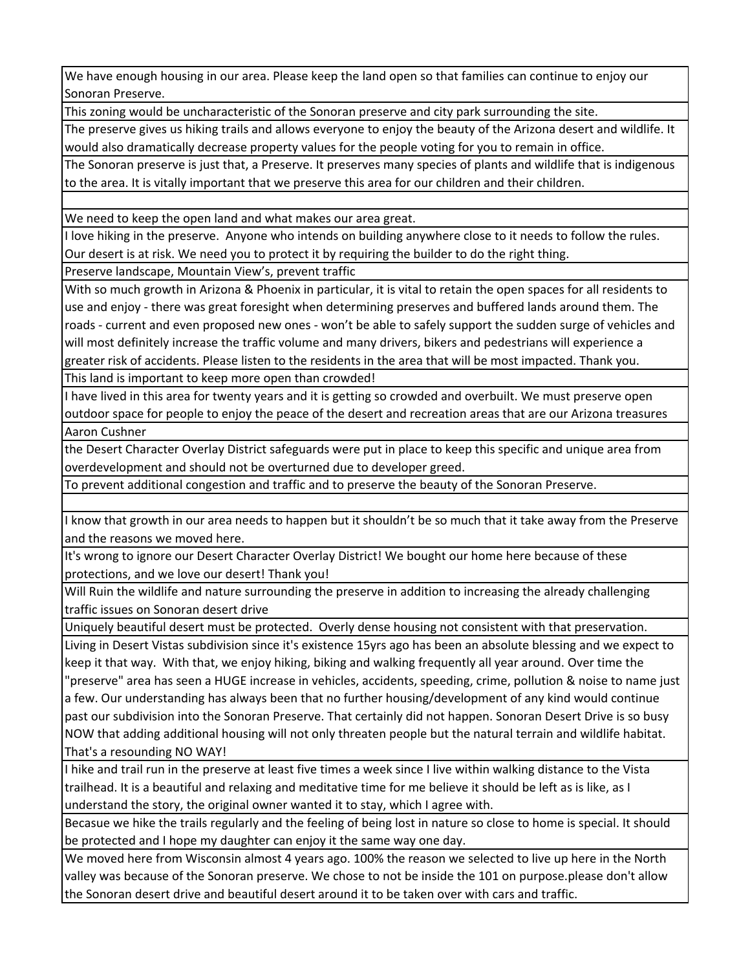We have enough housing in our area. Please keep the land open so that families can continue to enjoy our Sonoran Preserve.

This zoning would be uncharacteristic of the Sonoran preserve and city park surrounding the site.

The preserve gives us hiking trails and allows everyone to enjoy the beauty of the Arizona desert and wildlife. It would also dramatically decrease property values for the people voting for you to remain in office.

The Sonoran preserve is just that, a Preserve. It preserves many species of plants and wildlife that is indigenous to the area. It is vitally important that we preserve this area for our children and their children.

We need to keep the open land and what makes our area great.

I love hiking in the preserve. Anyone who intends on building anywhere close to it needs to follow the rules. Our desert is at risk. We need you to protect it by requiring the builder to do the right thing.

Preserve landscape, Mountain View's, prevent traffic

With so much growth in Arizona & Phoenix in particular, it is vital to retain the open spaces for all residents to use and enjoy ‐ there was great foresight when determining preserves and buffered lands around them. The roads ‐ current and even proposed new ones ‐ won't be able to safely support the sudden surge of vehicles and will most definitely increase the traffic volume and many drivers, bikers and pedestrians will experience a greater risk of accidents. Please listen to the residents in the area that will be most impacted. Thank you.

This land is important to keep more open than crowded!

I have lived in this area for twenty years and it is getting so crowded and overbuilt. We must preserve open outdoor space for people to enjoy the peace of the desert and recreation areas that are our Arizona treasures Aaron Cushner

the Desert Character Overlay District safeguards were put in place to keep this specific and unique area from overdevelopment and should not be overturned due to developer greed.

To prevent additional congestion and traffic and to preserve the beauty of the Sonoran Preserve.

I know that growth in our area needs to happen but it shouldn't be so much that it take away from the Preserve and the reasons we moved here.

It's wrong to ignore our Desert Character Overlay District! We bought our home here because of these protections, and we love our desert! Thank you!

Will Ruin the wildlife and nature surrounding the preserve in addition to increasing the already challenging traffic issues on Sonoran desert drive

Uniquely beautiful desert must be protected. Overly dense housing not consistent with that preservation.

Living in Desert Vistas subdivision since it's existence 15yrs ago has been an absolute blessing and we expect to keep it that way. With that, we enjoy hiking, biking and walking frequently all year around. Over time the "preserve" area has seen a HUGE increase in vehicles, accidents, speeding, crime, pollution & noise to name just a few. Our understanding has always been that no further housing/development of any kind would continue past our subdivision into the Sonoran Preserve. That certainly did not happen. Sonoran Desert Drive is so busy NOW that adding additional housing will not only threaten people but the natural terrain and wildlife habitat. That's a resounding NO WAY!

I hike and trail run in the preserve at least five times a week since I live within walking distance to the Vista trailhead. It is a beautiful and relaxing and meditative time for me believe it should be left as is like, as I understand the story, the original owner wanted it to stay, which I agree with.

Becasue we hike the trails regularly and the feeling of being lost in nature so close to home is special. It should be protected and I hope my daughter can enjoy it the same way one day.

We moved here from Wisconsin almost 4 years ago. 100% the reason we selected to live up here in the North valley was because of the Sonoran preserve. We chose to not be inside the 101 on purpose.please don't allow the Sonoran desert drive and beautiful desert around it to be taken over with cars and traffic.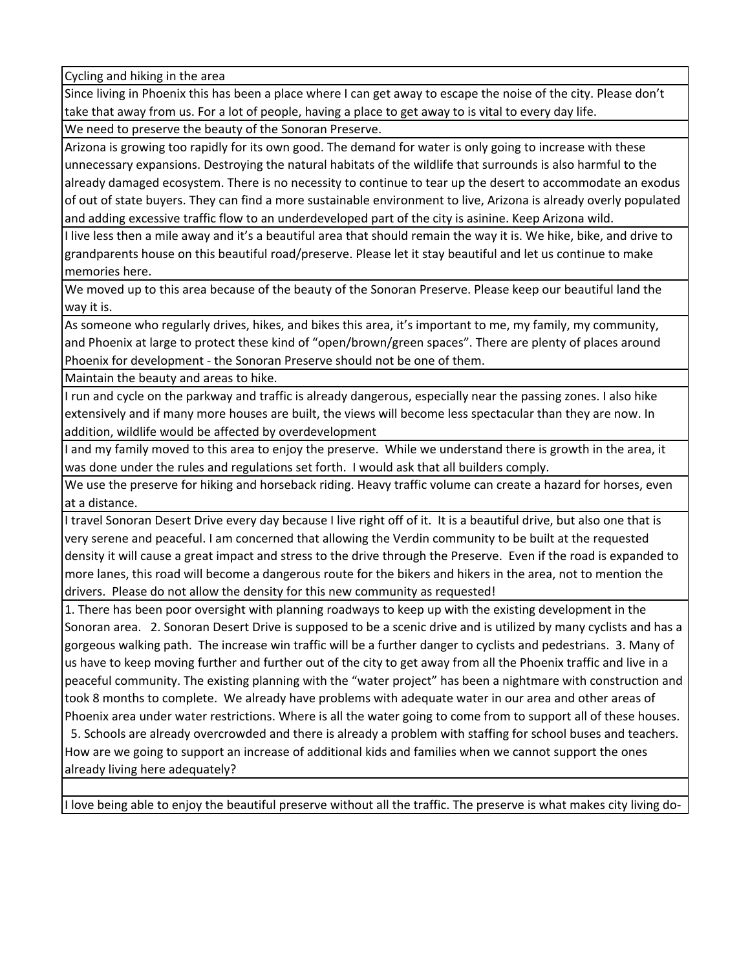Cycling and hiking in the area

Since living in Phoenix this has been a place where I can get away to escape the noise of the city. Please don't take that away from us. For a lot of people, having a place to get away to is vital to every day life.

We need to preserve the beauty of the Sonoran Preserve.

Arizona is growing too rapidly for its own good. The demand for water is only going to increase with these unnecessary expansions. Destroying the natural habitats of the wildlife that surrounds is also harmful to the already damaged ecosystem. There is no necessity to continue to tear up the desert to accommodate an exodus of out of state buyers. They can find a more sustainable environment to live, Arizona is already overly populated and adding excessive traffic flow to an underdeveloped part of the city is asinine. Keep Arizona wild.

I live less then a mile away and it's a beautiful area that should remain the way it is. We hike, bike, and drive to grandparents house on this beautiful road/preserve. Please let it stay beautiful and let us continue to make memories here.

We moved up to this area because of the beauty of the Sonoran Preserve. Please keep our beautiful land the way it is.

As someone who regularly drives, hikes, and bikes this area, it's important to me, my family, my community, and Phoenix at large to protect these kind of "open/brown/green spaces". There are plenty of places around Phoenix for development ‐ the Sonoran Preserve should not be one of them.

Maintain the beauty and areas to hike.

I run and cycle on the parkway and traffic is already dangerous, especially near the passing zones. I also hike extensively and if many more houses are built, the views will become less spectacular than they are now. In addition, wildlife would be affected by overdevelopment

I and my family moved to this area to enjoy the preserve. While we understand there is growth in the area, it was done under the rules and regulations set forth. I would ask that all builders comply.

We use the preserve for hiking and horseback riding. Heavy traffic volume can create a hazard for horses, even at a distance.

I travel Sonoran Desert Drive every day because I live right off of it. It is a beautiful drive, but also one that is very serene and peaceful. I am concerned that allowing the Verdin community to be built at the requested density it will cause a great impact and stress to the drive through the Preserve. Even if the road is expanded to more lanes, this road will become a dangerous route for the bikers and hikers in the area, not to mention the drivers. Please do not allow the density for this new community as requested!

1. There has been poor oversight with planning roadways to keep up with the existing development in the Sonoran area. 2. Sonoran Desert Drive is supposed to be a scenic drive and is utilized by many cyclists and has a gorgeous walking path. The increase win traffic will be a further danger to cyclists and pedestrians. 3. Many of us have to keep moving further and further out of the city to get away from all the Phoenix traffic and live in a peaceful community. The existing planning with the "water project" has been a nightmare with construction and took 8 months to complete. We already have problems with adequate water in our area and other areas of Phoenix area under water restrictions. Where is all the water going to come from to support all of these houses.

 5. Schools are already overcrowded and there is already a problem with staffing for school buses and teachers. How are we going to support an increase of additional kids and families when we cannot support the ones already living here adequately?

I love being able to enjoy the beautiful preserve without all the traffic. The preserve is what makes city living do‐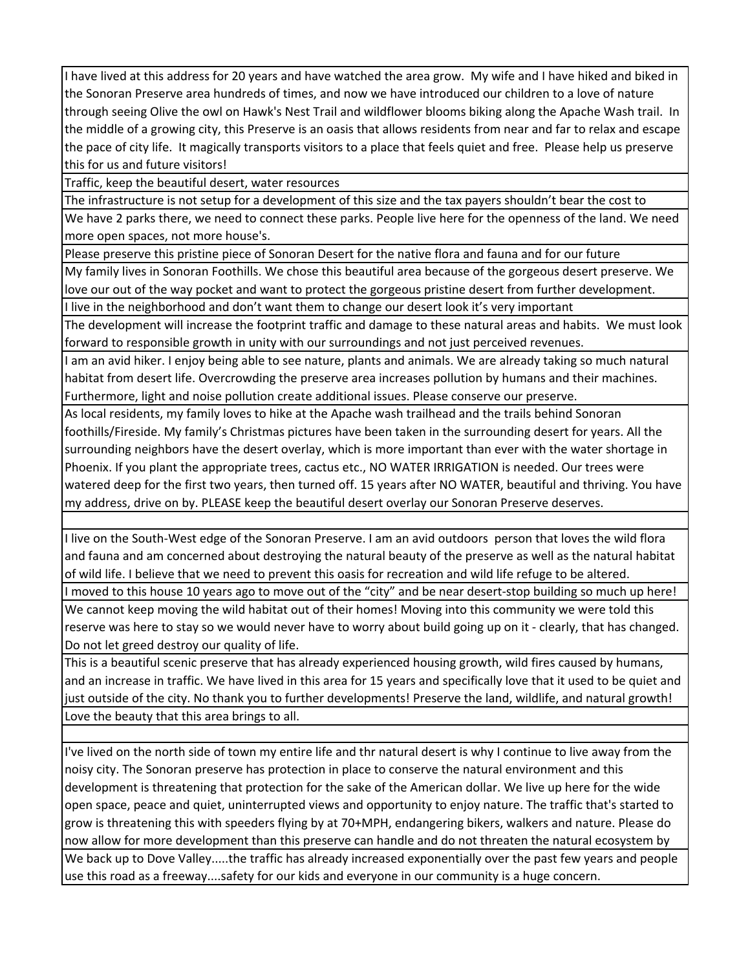I have lived at this address for 20 years and have watched the area grow. My wife and I have hiked and biked in the Sonoran Preserve area hundreds of times, and now we have introduced our children to a love of nature through seeing Olive the owl on Hawk's Nest Trail and wildflower blooms biking along the Apache Wash trail. In the middle of a growing city, this Preserve is an oasis that allows residents from near and far to relax and escape the pace of city life. It magically transports visitors to a place that feels quiet and free. Please help us preserve this for us and future visitors!

Traffic, keep the beautiful desert, water resources

The infrastructure is not setup for a development of this size and the tax payers shouldn't bear the cost to

We have 2 parks there, we need to connect these parks. People live here for the openness of the land. We need more open spaces, not more house's.

Please preserve this pristine piece of Sonoran Desert for the native flora and fauna and for our future

My family lives in Sonoran Foothills. We chose this beautiful area because of the gorgeous desert preserve. We love our out of the way pocket and want to protect the gorgeous pristine desert from further development.

I live in the neighborhood and don't want them to change our desert look it's very important

The development will increase the footprint traffic and damage to these natural areas and habits. We must look forward to responsible growth in unity with our surroundings and not just perceived revenues.

I am an avid hiker. I enjoy being able to see nature, plants and animals. We are already taking so much natural habitat from desert life. Overcrowding the preserve area increases pollution by humans and their machines. Furthermore, light and noise pollution create additional issues. Please conserve our preserve.

As local residents, my family loves to hike at the Apache wash trailhead and the trails behind Sonoran foothills/Fireside. My family's Christmas pictures have been taken in the surrounding desert for years. All the surrounding neighbors have the desert overlay, which is more important than ever with the water shortage in Phoenix. If you plant the appropriate trees, cactus etc., NO WATER IRRIGATION is needed. Our trees were watered deep for the first two years, then turned off. 15 years after NO WATER, beautiful and thriving. You have my address, drive on by. PLEASE keep the beautiful desert overlay our Sonoran Preserve deserves.

I live on the South‐West edge of the Sonoran Preserve. I am an avid outdoors person that loves the wild flora and fauna and am concerned about destroying the natural beauty of the preserve as well as the natural habitat of wild life. I believe that we need to prevent this oasis for recreation and wild life refuge to be altered.

I moved to this house 10 years ago to move out of the "city" and be near desert-stop building so much up here! We cannot keep moving the wild habitat out of their homes! Moving into this community we were told this reserve was here to stay so we would never have to worry about build going up on it ‐ clearly, that has changed. Do not let greed destroy our quality of life.

This is a beautiful scenic preserve that has already experienced housing growth, wild fires caused by humans, and an increase in traffic. We have lived in this area for 15 years and specifically love that it used to be quiet and just outside of the city. No thank you to further developments! Preserve the land, wildlife, and natural growth! Love the beauty that this area brings to all.

I've lived on the north side of town my entire life and thr natural desert is why I continue to live away from the noisy city. The Sonoran preserve has protection in place to conserve the natural environment and this development is threatening that protection for the sake of the American dollar. We live up here for the wide open space, peace and quiet, uninterrupted views and opportunity to enjoy nature. The traffic that's started to grow is threatening this with speeders flying by at 70+MPH, endangering bikers, walkers and nature. Please do now allow for more development than this preserve can handle and do not threaten the natural ecosystem by We back up to Dove Valley.....the traffic has already increased exponentially over the past few years and people use this road as a freeway....safety for our kids and everyone in our community is a huge concern.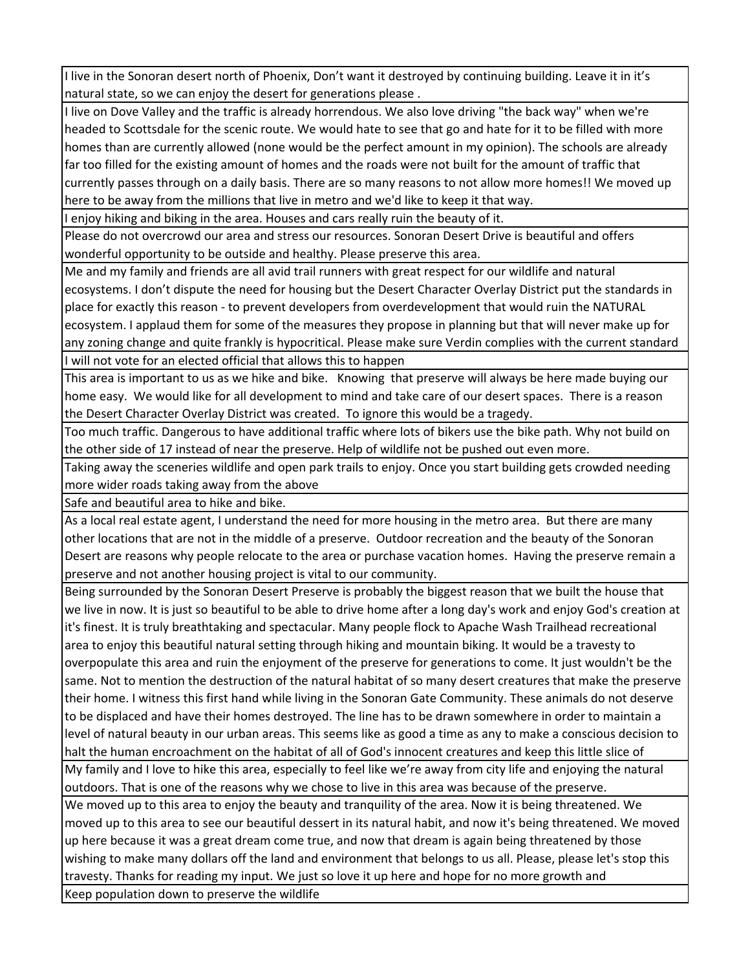I live in the Sonoran desert north of Phoenix, Don't want it destroyed by continuing building. Leave it in it's natural state, so we can enjoy the desert for generations please .

I live on Dove Valley and the traffic is already horrendous. We also love driving "the back way" when we're headed to Scottsdale for the scenic route. We would hate to see that go and hate for it to be filled with more homes than are currently allowed (none would be the perfect amount in my opinion). The schools are already far too filled for the existing amount of homes and the roads were not built for the amount of traffic that currently passes through on a daily basis. There are so many reasons to not allow more homes!! We moved up here to be away from the millions that live in metro and we'd like to keep it that way.

I enjoy hiking and biking in the area. Houses and cars really ruin the beauty of it.

Please do not overcrowd our area and stress our resources. Sonoran Desert Drive is beautiful and offers wonderful opportunity to be outside and healthy. Please preserve this area.

Me and my family and friends are all avid trail runners with great respect for our wildlife and natural ecosystems. I don't dispute the need for housing but the Desert Character Overlay District put the standards in place for exactly this reason ‐ to prevent developers from overdevelopment that would ruin the NATURAL ecosystem. I applaud them for some of the measures they propose in planning but that will never make up for any zoning change and quite frankly is hypocritical. Please make sure Verdin complies with the current standard I will not vote for an elected official that allows this to happen

This area is important to us as we hike and bike. Knowing that preserve will always be here made buying our home easy. We would like for all development to mind and take care of our desert spaces. There is a reason the Desert Character Overlay District was created. To ignore this would be a tragedy.

Too much traffic. Dangerous to have additional traffic where lots of bikers use the bike path. Why not build on the other side of 17 instead of near the preserve. Help of wildlife not be pushed out even more.

Taking away the sceneries wildlife and open park trails to enjoy. Once you start building gets crowded needing more wider roads taking away from the above

Safe and beautiful area to hike and bike.

As a local real estate agent, I understand the need for more housing in the metro area. But there are many other locations that are not in the middle of a preserve. Outdoor recreation and the beauty of the Sonoran Desert are reasons why people relocate to the area or purchase vacation homes. Having the preserve remain a preserve and not another housing project is vital to our community.

Being surrounded by the Sonoran Desert Preserve is probably the biggest reason that we built the house that we live in now. It is just so beautiful to be able to drive home after a long day's work and enjoy God's creation at it's finest. It is truly breathtaking and spectacular. Many people flock to Apache Wash Trailhead recreational area to enjoy this beautiful natural setting through hiking and mountain biking. It would be a travesty to overpopulate this area and ruin the enjoyment of the preserve for generations to come. It just wouldn't be the same. Not to mention the destruction of the natural habitat of so many desert creatures that make the preserve their home. I witness this first hand while living in the Sonoran Gate Community. These animals do not deserve to be displaced and have their homes destroyed. The line has to be drawn somewhere in order to maintain a level of natural beauty in our urban areas. This seems like as good a time as any to make a conscious decision to halt the human encroachment on the habitat of all of God's innocent creatures and keep this little slice of

My family and I love to hike this area, especially to feel like we're away from city life and enjoying the natural outdoors. That is one of the reasons why we chose to live in this area was because of the preserve.

We moved up to this area to enjoy the beauty and tranquility of the area. Now it is being threatened. We moved up to this area to see our beautiful dessert in its natural habit, and now it's being threatened. We moved up here because it was a great dream come true, and now that dream is again being threatened by those wishing to make many dollars off the land and environment that belongs to us all. Please, please let's stop this travesty. Thanks for reading my input. We just so love it up here and hope for no more growth and Keep population down to preserve the wildlife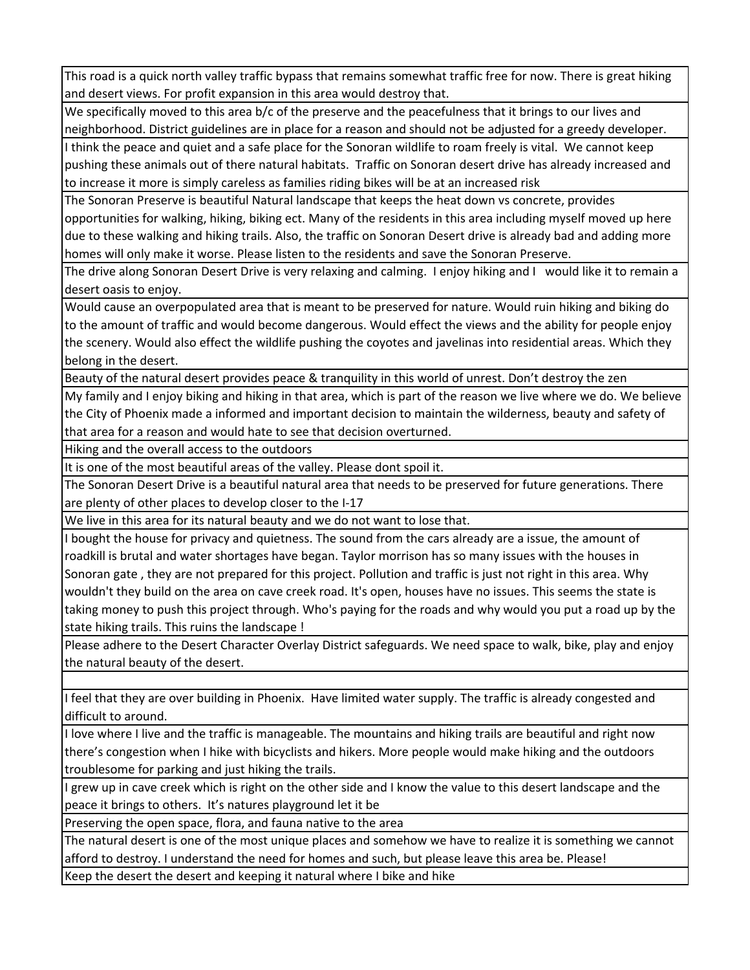This road is a quick north valley traffic bypass that remains somewhat traffic free for now. There is great hiking and desert views. For profit expansion in this area would destroy that.

We specifically moved to this area b/c of the preserve and the peacefulness that it brings to our lives and neighborhood. District guidelines are in place for a reason and should not be adjusted for a greedy developer.

I think the peace and quiet and a safe place for the Sonoran wildlife to roam freely is vital. We cannot keep pushing these animals out of there natural habitats. Traffic on Sonoran desert drive has already increased and to increase it more is simply careless as families riding bikes will be at an increased risk

The Sonoran Preserve is beautiful Natural landscape that keeps the heat down vs concrete, provides opportunities for walking, hiking, biking ect. Many of the residents in this area including myself moved up here due to these walking and hiking trails. Also, the traffic on Sonoran Desert drive is already bad and adding more homes will only make it worse. Please listen to the residents and save the Sonoran Preserve.

The drive along Sonoran Desert Drive is very relaxing and calming. I enjoy hiking and I would like it to remain a desert oasis to enjoy.

Would cause an overpopulated area that is meant to be preserved for nature. Would ruin hiking and biking do to the amount of traffic and would become dangerous. Would effect the views and the ability for people enjoy the scenery. Would also effect the wildlife pushing the coyotes and javelinas into residential areas. Which they belong in the desert.

Beauty of the natural desert provides peace & tranquility in this world of unrest. Don't destroy the zen

My family and I enjoy biking and hiking in that area, which is part of the reason we live where we do. We believe the City of Phoenix made a informed and important decision to maintain the wilderness, beauty and safety of that area for a reason and would hate to see that decision overturned.

Hiking and the overall access to the outdoors

It is one of the most beautiful areas of the valley. Please dont spoil it.

The Sonoran Desert Drive is a beautiful natural area that needs to be preserved for future generations. There are plenty of other places to develop closer to the I‐17

We live in this area for its natural beauty and we do not want to lose that.

I bought the house for privacy and quietness. The sound from the cars already are a issue, the amount of roadkill is brutal and water shortages have began. Taylor morrison has so many issues with the houses in Sonoran gate , they are not prepared for this project. Pollution and traffic is just not right in this area. Why wouldn't they build on the area on cave creek road. It's open, houses have no issues. This seems the state is taking money to push this project through. Who's paying for the roads and why would you put a road up by the state hiking trails. This ruins the landscape !

Please adhere to the Desert Character Overlay District safeguards. We need space to walk, bike, play and enjoy the natural beauty of the desert.

I feel that they are over building in Phoenix. Have limited water supply. The traffic is already congested and difficult to around.

I love where I live and the traffic is manageable. The mountains and hiking trails are beautiful and right now there's congestion when I hike with bicyclists and hikers. More people would make hiking and the outdoors troublesome for parking and just hiking the trails.

I grew up in cave creek which is right on the other side and I know the value to this desert landscape and the peace it brings to others. It's natures playground let it be

Preserving the open space, flora, and fauna native to the area

The natural desert is one of the most unique places and somehow we have to realize it is something we cannot afford to destroy. I understand the need for homes and such, but please leave this area be. Please!

Keep the desert the desert and keeping it natural where I bike and hike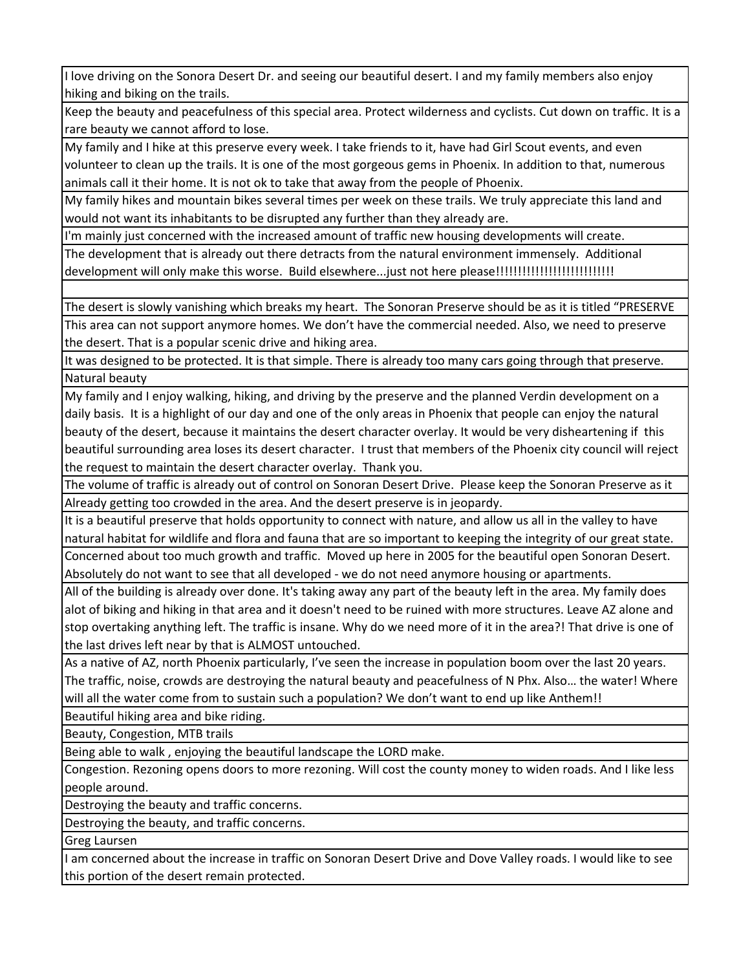I love driving on the Sonora Desert Dr. and seeing our beautiful desert. I and my family members also enjoy hiking and biking on the trails.

Keep the beauty and peacefulness of this special area. Protect wilderness and cyclists. Cut down on traffic. It is a rare beauty we cannot afford to lose.

My family and I hike at this preserve every week. I take friends to it, have had Girl Scout events, and even volunteer to clean up the trails. It is one of the most gorgeous gems in Phoenix. In addition to that, numerous animals call it their home. It is not ok to take that away from the people of Phoenix.

My family hikes and mountain bikes several times per week on these trails. We truly appreciate this land and would not want its inhabitants to be disrupted any further than they already are.

I'm mainly just concerned with the increased amount of traffic new housing developments will create.

The development that is already out there detracts from the natural environment immensely. Additional development will only make this worse. Build elsewhere...just not here please!!!!!!!!!!!!!!!!!!!!!!!!!!!!!!!!!

The desert is slowly vanishing which breaks my heart. The Sonoran Preserve should be as it is titled "PRESERVE This area can not support anymore homes. We don't have the commercial needed. Also, we need to preserve the desert. That is a popular scenic drive and hiking area.

It was designed to be protected. It is that simple. There is already too many cars going through that preserve. Natural beauty

My family and I enjoy walking, hiking, and driving by the preserve and the planned Verdin development on a daily basis. It is a highlight of our day and one of the only areas in Phoenix that people can enjoy the natural beauty of the desert, because it maintains the desert character overlay. It would be very disheartening if this beautiful surrounding area loses its desert character. I trust that members of the Phoenix city council will reject the request to maintain the desert character overlay. Thank you.

The volume of traffic is already out of control on Sonoran Desert Drive. Please keep the Sonoran Preserve as it Already getting too crowded in the area. And the desert preserve is in jeopardy.

It is a beautiful preserve that holds opportunity to connect with nature, and allow us all in the valley to have natural habitat for wildlife and flora and fauna that are so important to keeping the integrity of our great state. Concerned about too much growth and traffic. Moved up here in 2005 for the beautiful open Sonoran Desert. Absolutely do not want to see that all developed ‐ we do not need anymore housing or apartments.

All of the building is already over done. It's taking away any part of the beauty left in the area. My family does alot of biking and hiking in that area and it doesn't need to be ruined with more structures. Leave AZ alone and stop overtaking anything left. The traffic is insane. Why do we need more of it in the area?! That drive is one of the last drives left near by that is ALMOST untouched.

As a native of AZ, north Phoenix particularly, I've seen the increase in population boom over the last 20 years. The traffic, noise, crowds are destroying the natural beauty and peacefulness of N Phx. Also… the water! Where will all the water come from to sustain such a population? We don't want to end up like Anthem!!

Beautiful hiking area and bike riding.

Beauty, Congestion, MTB trails

Being able to walk , enjoying the beautiful landscape the LORD make.

Congestion. Rezoning opens doors to more rezoning. Will cost the county money to widen roads. And I like less people around.

Destroying the beauty and traffic concerns.

Destroying the beauty, and traffic concerns.

Greg Laursen

I am concerned about the increase in traffic on Sonoran Desert Drive and Dove Valley roads. I would like to see this portion of the desert remain protected.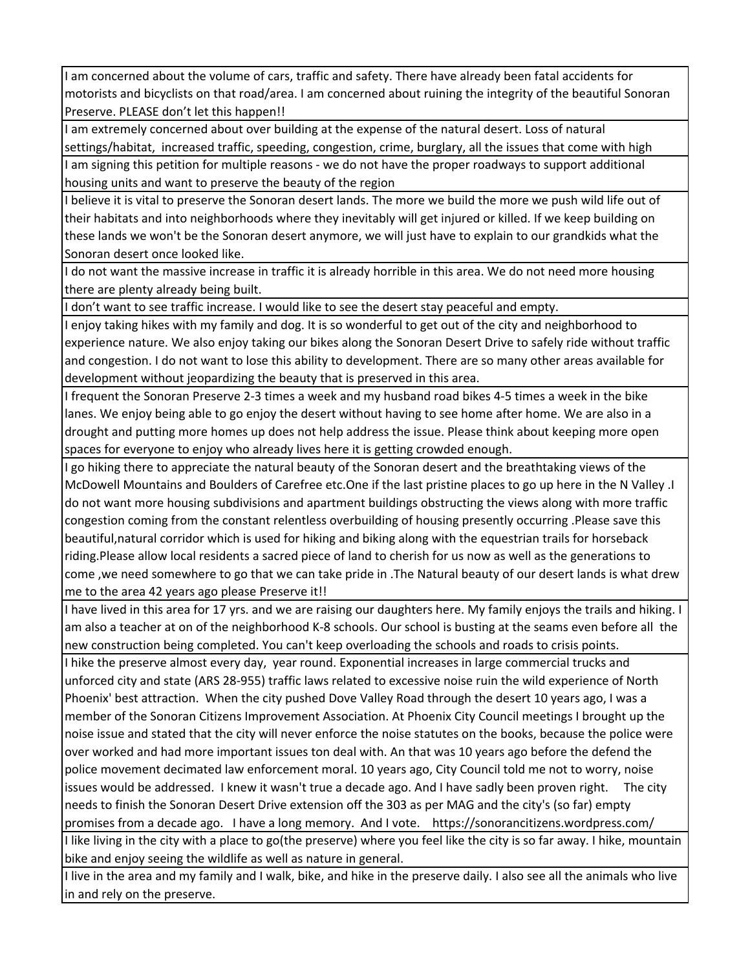I am concerned about the volume of cars, traffic and safety. There have already been fatal accidents for motorists and bicyclists on that road/area. I am concerned about ruining the integrity of the beautiful Sonoran Preserve. PLEASE don't let this happen!!

I am extremely concerned about over building at the expense of the natural desert. Loss of natural settings/habitat, increased traffic, speeding, congestion, crime, burglary, all the issues that come with high I am signing this petition for multiple reasons ‐ we do not have the proper roadways to support additional housing units and want to preserve the beauty of the region

I believe it is vital to preserve the Sonoran desert lands. The more we build the more we push wild life out of their habitats and into neighborhoods where they inevitably will get injured or killed. If we keep building on these lands we won't be the Sonoran desert anymore, we will just have to explain to our grandkids what the Sonoran desert once looked like.

I do not want the massive increase in traffic it is already horrible in this area. We do not need more housing there are plenty already being built.

I don't want to see traffic increase. I would like to see the desert stay peaceful and empty.

I enjoy taking hikes with my family and dog. It is so wonderful to get out of the city and neighborhood to experience nature. We also enjoy taking our bikes along the Sonoran Desert Drive to safely ride without traffic and congestion. I do not want to lose this ability to development. There are so many other areas available for development without jeopardizing the beauty that is preserved in this area.

I frequent the Sonoran Preserve 2‐3 times a week and my husband road bikes 4‐5 times a week in the bike lanes. We enjoy being able to go enjoy the desert without having to see home after home. We are also in a drought and putting more homes up does not help address the issue. Please think about keeping more open spaces for everyone to enjoy who already lives here it is getting crowded enough.

I go hiking there to appreciate the natural beauty of the Sonoran desert and the breathtaking views of the McDowell Mountains and Boulders of Carefree etc.One if the last pristine places to go up here in the N Valley .I do not want more housing subdivisions and apartment buildings obstructing the views along with more traffic congestion coming from the constant relentless overbuilding of housing presently occurring .Please save this beautiful,natural corridor which is used for hiking and biking along with the equestrian trails for horseback riding.Please allow local residents a sacred piece of land to cherish for us now as well as the generations to come ,we need somewhere to go that we can take pride in .The Natural beauty of our desert lands is what drew me to the area 42 years ago please Preserve it!!

I have lived in this area for 17 yrs. and we are raising our daughters here. My family enjoys the trails and hiking. I am also a teacher at on of the neighborhood K‐8 schools. Our school is busting at the seams even before all the new construction being completed. You can't keep overloading the schools and roads to crisis points.

I hike the preserve almost every day, year round. Exponential increases in large commercial trucks and unforced city and state (ARS 28‐955) traffic laws related to excessive noise ruin the wild experience of North Phoenix' best attraction. When the city pushed Dove Valley Road through the desert 10 years ago, I was a member of the Sonoran Citizens Improvement Association. At Phoenix City Council meetings I brought up the noise issue and stated that the city will never enforce the noise statutes on the books, because the police were over worked and had more important issues ton deal with. An that was 10 years ago before the defend the police movement decimated law enforcement moral. 10 years ago, City Council told me not to worry, noise issues would be addressed. I knew it wasn't true a decade ago. And I have sadly been proven right. The city needs to finish the Sonoran Desert Drive extension off the 303 as per MAG and the city's (so far) empty promises from a decade ago. I have a long memory. And I vote. https://sonorancitizens.wordpress.com/

I like living in the city with a place to go(the preserve) where you feel like the city is so far away. I hike, mountain bike and enjoy seeing the wildlife as well as nature in general.

I live in the area and my family and I walk, bike, and hike in the preserve daily. I also see all the animals who live in and rely on the preserve.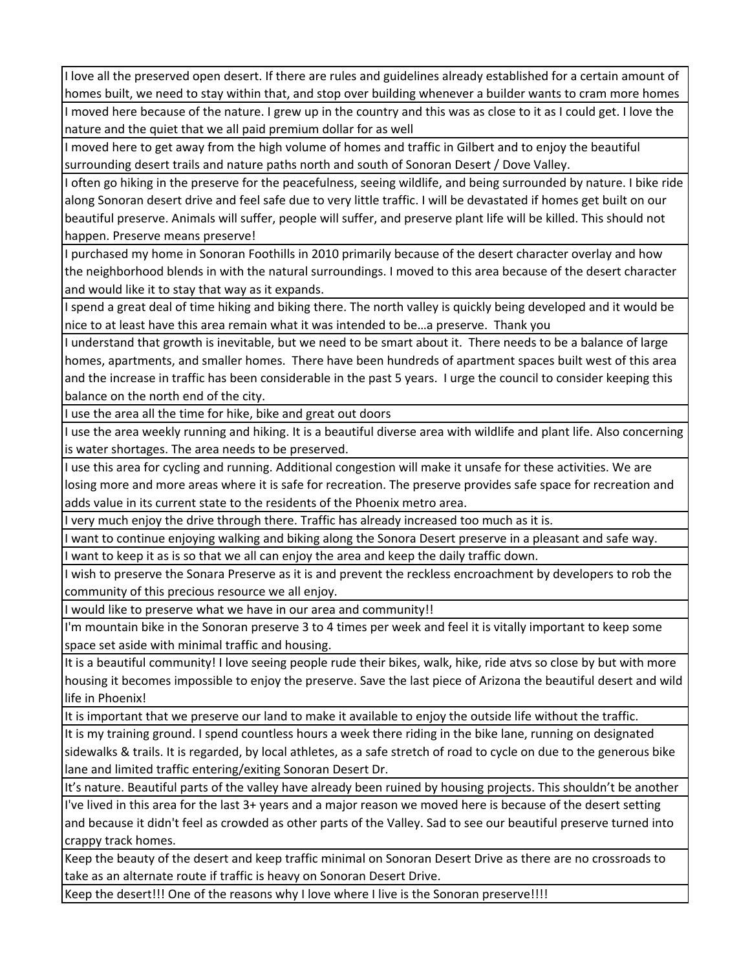I love all the preserved open desert. If there are rules and guidelines already established for a certain amount of homes built, we need to stay within that, and stop over building whenever a builder wants to cram more homes

I moved here because of the nature. I grew up in the country and this was as close to it as I could get. I love the nature and the quiet that we all paid premium dollar for as well

I moved here to get away from the high volume of homes and traffic in Gilbert and to enjoy the beautiful surrounding desert trails and nature paths north and south of Sonoran Desert / Dove Valley.

I often go hiking in the preserve for the peacefulness, seeing wildlife, and being surrounded by nature. I bike ride along Sonoran desert drive and feel safe due to very little traffic. I will be devastated if homes get built on our beautiful preserve. Animals will suffer, people will suffer, and preserve plant life will be killed. This should not happen. Preserve means preserve!

I purchased my home in Sonoran Foothills in 2010 primarily because of the desert character overlay and how the neighborhood blends in with the natural surroundings. I moved to this area because of the desert character and would like it to stay that way as it expands.

I spend a great deal of time hiking and biking there. The north valley is quickly being developed and it would be nice to at least have this area remain what it was intended to be…a preserve. Thank you

I understand that growth is inevitable, but we need to be smart about it. There needs to be a balance of large homes, apartments, and smaller homes. There have been hundreds of apartment spaces built west of this area and the increase in traffic has been considerable in the past 5 years. I urge the council to consider keeping this balance on the north end of the city.

I use the area all the time for hike, bike and great out doors

I use the area weekly running and hiking. It is a beautiful diverse area with wildlife and plant life. Also concerning is water shortages. The area needs to be preserved.

I use this area for cycling and running. Additional congestion will make it unsafe for these activities. We are losing more and more areas where it is safe for recreation. The preserve provides safe space for recreation and adds value in its current state to the residents of the Phoenix metro area.

I very much enjoy the drive through there. Traffic has already increased too much as it is.

I want to continue enjoying walking and biking along the Sonora Desert preserve in a pleasant and safe way. want to keep it as is so that we all can enjoy the area and keep the daily traffic down.

I wish to preserve the Sonara Preserve as it is and prevent the reckless encroachment by developers to rob the community of this precious resource we all enjoy.

I would like to preserve what we have in our area and community!!

I'm mountain bike in the Sonoran preserve 3 to 4 times per week and feel it is vitally important to keep some space set aside with minimal traffic and housing.

It is a beautiful community! I love seeing people rude their bikes, walk, hike, ride atvs so close by but with more housing it becomes impossible to enjoy the preserve. Save the last piece of Arizona the beautiful desert and wild life in Phoenix!

It is important that we preserve our land to make it available to enjoy the outside life without the traffic.

It is my training ground. I spend countless hours a week there riding in the bike lane, running on designated sidewalks & trails. It is regarded, by local athletes, as a safe stretch of road to cycle on due to the generous bike lane and limited traffic entering/exiting Sonoran Desert Dr.

It's nature. Beautiful parts of the valley have already been ruined by housing projects. This shouldn't be another I've lived in this area for the last 3+ years and a major reason we moved here is because of the desert setting and because it didn't feel as crowded as other parts of the Valley. Sad to see our beautiful preserve turned into crappy track homes.

Keep the beauty of the desert and keep traffic minimal on Sonoran Desert Drive as there are no crossroads to take as an alternate route if traffic is heavy on Sonoran Desert Drive.

Keep the desert!!! One of the reasons why I love where I live is the Sonoran preserve!!!!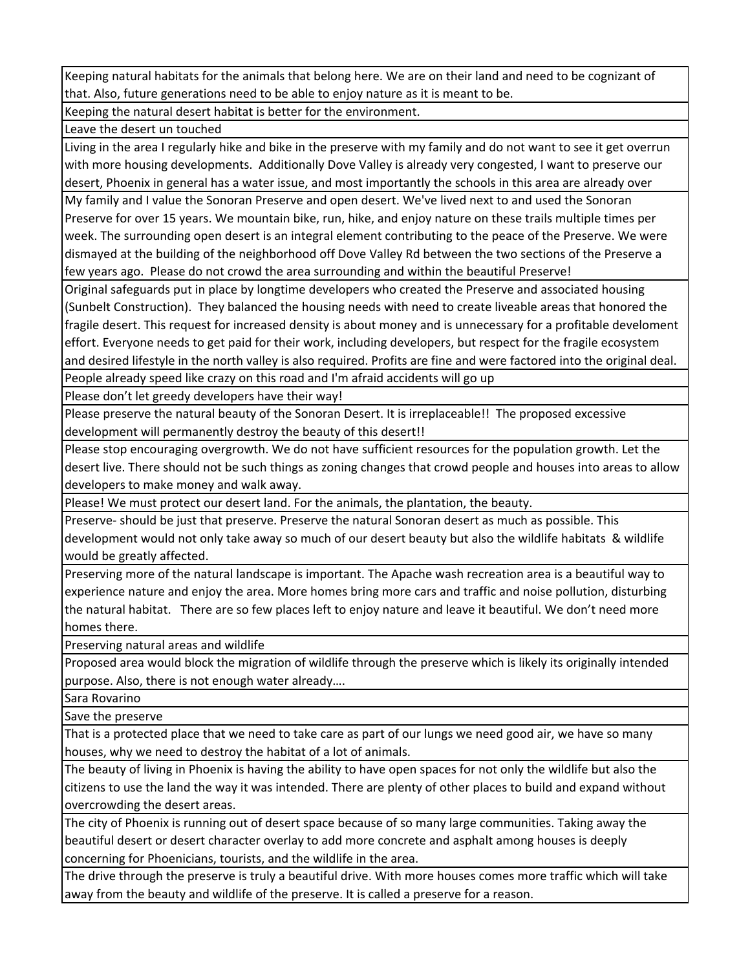Keeping natural habitats for the animals that belong here. We are on their land and need to be cognizant of that. Also, future generations need to be able to enjoy nature as it is meant to be.

Keeping the natural desert habitat is better for the environment.

Leave the desert un touched

Living in the area I regularly hike and bike in the preserve with my family and do not want to see it get overrun with more housing developments. Additionally Dove Valley is already very congested, I want to preserve our desert, Phoenix in general has a water issue, and most importantly the schools in this area are already over

My family and I value the Sonoran Preserve and open desert. We've lived next to and used the Sonoran Preserve for over 15 years. We mountain bike, run, hike, and enjoy nature on these trails multiple times per week. The surrounding open desert is an integral element contributing to the peace of the Preserve. We were dismayed at the building of the neighborhood off Dove Valley Rd between the two sections of the Preserve a few years ago. Please do not crowd the area surrounding and within the beautiful Preserve!

Original safeguards put in place by longtime developers who created the Preserve and associated housing (Sunbelt Construction). They balanced the housing needs with need to create liveable areas that honored the fragile desert. This request for increased density is about money and is unnecessary for a profitable develoment effort. Everyone needs to get paid for their work, including developers, but respect for the fragile ecosystem and desired lifestyle in the north valley is also required. Profits are fine and were factored into the original deal.

People already speed like crazy on this road and I'm afraid accidents will go up

Please don't let greedy developers have their way!

Please preserve the natural beauty of the Sonoran Desert. It is irreplaceable!! The proposed excessive development will permanently destroy the beauty of this desert!!

Please stop encouraging overgrowth. We do not have sufficient resources for the population growth. Let the desert live. There should not be such things as zoning changes that crowd people and houses into areas to allow developers to make money and walk away.

Please! We must protect our desert land. For the animals, the plantation, the beauty.

Preserve‐ should be just that preserve. Preserve the natural Sonoran desert as much as possible. This development would not only take away so much of our desert beauty but also the wildlife habitats & wildlife would be greatly affected.

Preserving more of the natural landscape is important. The Apache wash recreation area is a beautiful way to experience nature and enjoy the area. More homes bring more cars and traffic and noise pollution, disturbing the natural habitat. There are so few places left to enjoy nature and leave it beautiful. We don't need more homes there.

Preserving natural areas and wildlife

Proposed area would block the migration of wildlife through the preserve which is likely its originally intended purpose. Also, there is not enough water already….

Sara Rovarino

Save the preserve

That is a protected place that we need to take care as part of our lungs we need good air, we have so many houses, why we need to destroy the habitat of a lot of animals.

The beauty of living in Phoenix is having the ability to have open spaces for not only the wildlife but also the citizens to use the land the way it was intended. There are plenty of other places to build and expand without overcrowding the desert areas.

The city of Phoenix is running out of desert space because of so many large communities. Taking away the beautiful desert or desert character overlay to add more concrete and asphalt among houses is deeply concerning for Phoenicians, tourists, and the wildlife in the area.

The drive through the preserve is truly a beautiful drive. With more houses comes more traffic which will take away from the beauty and wildlife of the preserve. It is called a preserve for a reason.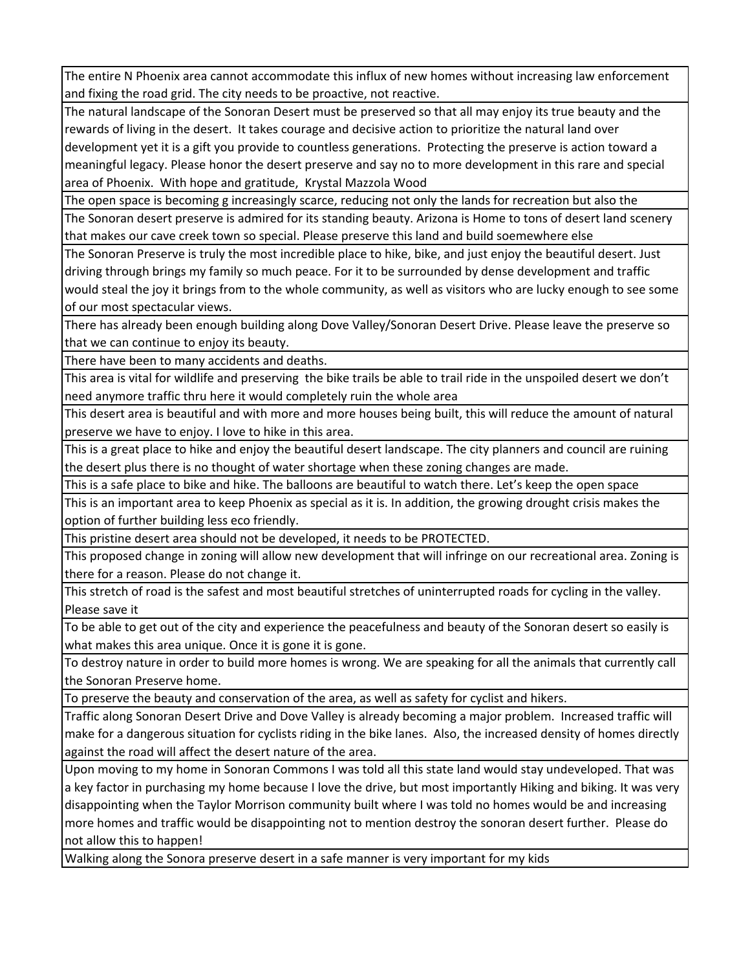The entire N Phoenix area cannot accommodate this influx of new homes without increasing law enforcement and fixing the road grid. The city needs to be proactive, not reactive.

The natural landscape of the Sonoran Desert must be preserved so that all may enjoy its true beauty and the rewards of living in the desert. It takes courage and decisive action to prioritize the natural land over development yet it is a gift you provide to countless generations. Protecting the preserve is action toward a meaningful legacy. Please honor the desert preserve and say no to more development in this rare and special area of Phoenix. With hope and gratitude, Krystal Mazzola Wood

The open space is becoming g increasingly scarce, reducing not only the lands for recreation but also the

The Sonoran desert preserve is admired for its standing beauty. Arizona is Home to tons of desert land scenery that makes our cave creek town so special. Please preserve this land and build soemewhere else

The Sonoran Preserve is truly the most incredible place to hike, bike, and just enjoy the beautiful desert. Just driving through brings my family so much peace. For it to be surrounded by dense development and traffic would steal the joy it brings from to the whole community, as well as visitors who are lucky enough to see some of our most spectacular views.

There has already been enough building along Dove Valley/Sonoran Desert Drive. Please leave the preserve so that we can continue to enjoy its beauty.

There have been to many accidents and deaths.

This area is vital for wildlife and preserving the bike trails be able to trail ride in the unspoiled desert we don't need anymore traffic thru here it would completely ruin the whole area

This desert area is beautiful and with more and more houses being built, this will reduce the amount of natural preserve we have to enjoy. I love to hike in this area.

This is a great place to hike and enjoy the beautiful desert landscape. The city planners and council are ruining the desert plus there is no thought of water shortage when these zoning changes are made.

This is a safe place to bike and hike. The balloons are beautiful to watch there. Let's keep the open space

This is an important area to keep Phoenix as special as it is. In addition, the growing drought crisis makes the option of further building less eco friendly.

This pristine desert area should not be developed, it needs to be PROTECTED.

This proposed change in zoning will allow new development that will infringe on our recreational area. Zoning is there for a reason. Please do not change it.

This stretch of road is the safest and most beautiful stretches of uninterrupted roads for cycling in the valley. Please save it

To be able to get out of the city and experience the peacefulness and beauty of the Sonoran desert so easily is what makes this area unique. Once it is gone it is gone.

To destroy nature in order to build more homes is wrong. We are speaking for all the animals that currently call the Sonoran Preserve home.

To preserve the beauty and conservation of the area, as well as safety for cyclist and hikers.

Traffic along Sonoran Desert Drive and Dove Valley is already becoming a major problem. Increased traffic will make for a dangerous situation for cyclists riding in the bike lanes. Also, the increased density of homes directly against the road will affect the desert nature of the area.

Upon moving to my home in Sonoran Commons I was told all this state land would stay undeveloped. That was a key factor in purchasing my home because I love the drive, but most importantly Hiking and biking. It was very disappointing when the Taylor Morrison community built where I was told no homes would be and increasing more homes and traffic would be disappointing not to mention destroy the sonoran desert further. Please do not allow this to happen!

Walking along the Sonora preserve desert in a safe manner is very important for my kids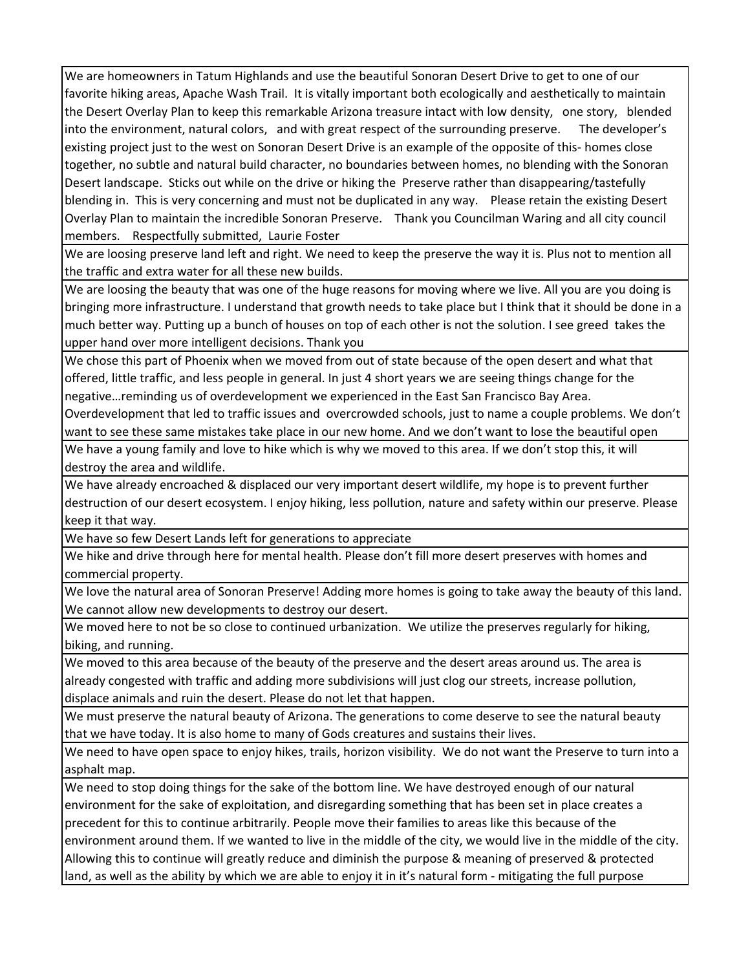We are homeowners in Tatum Highlands and use the beautiful Sonoran Desert Drive to get to one of our favorite hiking areas, Apache Wash Trail. It is vitally important both ecologically and aesthetically to maintain the Desert Overlay Plan to keep this remarkable Arizona treasure intact with low density, one story, blended into the environment, natural colors, and with great respect of the surrounding preserve. The developer's existing project just to the west on Sonoran Desert Drive is an example of the opposite of this‐ homes close together, no subtle and natural build character, no boundaries between homes, no blending with the Sonoran Desert landscape. Sticks out while on the drive or hiking the Preserve rather than disappearing/tastefully blending in. This is very concerning and must not be duplicated in any way. Please retain the existing Desert Overlay Plan to maintain the incredible Sonoran Preserve. Thank you Councilman Waring and all city council members. Respectfully submitted, Laurie Foster

We are loosing preserve land left and right. We need to keep the preserve the way it is. Plus not to mention all the traffic and extra water for all these new builds.

We are loosing the beauty that was one of the huge reasons for moving where we live. All you are you doing is bringing more infrastructure. I understand that growth needs to take place but I think that it should be done in a much better way. Putting up a bunch of houses on top of each other is not the solution. I see greed takes the upper hand over more intelligent decisions. Thank you

We chose this part of Phoenix when we moved from out of state because of the open desert and what that offered, little traffic, and less people in general. In just 4 short years we are seeing things change for the negative…reminding us of overdevelopment we experienced in the East San Francisco Bay Area.

Overdevelopment that led to traffic issues and overcrowded schools, just to name a couple problems. We don't want to see these same mistakes take place in our new home. And we don't want to lose the beautiful open

We have a young family and love to hike which is why we moved to this area. If we don't stop this, it will destroy the area and wildlife.

We have already encroached & displaced our very important desert wildlife, my hope is to prevent further destruction of our desert ecosystem. I enjoy hiking, less pollution, nature and safety within our preserve. Please keep it that way.

We have so few Desert Lands left for generations to appreciate

We hike and drive through here for mental health. Please don't fill more desert preserves with homes and commercial property.

We love the natural area of Sonoran Preserve! Adding more homes is going to take away the beauty of this land. We cannot allow new developments to destroy our desert.

We moved here to not be so close to continued urbanization. We utilize the preserves regularly for hiking, biking, and running.

We moved to this area because of the beauty of the preserve and the desert areas around us. The area is already congested with traffic and adding more subdivisions will just clog our streets, increase pollution, displace animals and ruin the desert. Please do not let that happen.

We must preserve the natural beauty of Arizona. The generations to come deserve to see the natural beauty that we have today. It is also home to many of Gods creatures and sustains their lives.

We need to have open space to enjoy hikes, trails, horizon visibility. We do not want the Preserve to turn into a asphalt map.

We need to stop doing things for the sake of the bottom line. We have destroyed enough of our natural environment for the sake of exploitation, and disregarding something that has been set in place creates a precedent for this to continue arbitrarily. People move their families to areas like this because of the environment around them. If we wanted to live in the middle of the city, we would live in the middle of the city. Allowing this to continue will greatly reduce and diminish the purpose & meaning of preserved & protected land, as well as the ability by which we are able to enjoy it in it's natural form ‐ mitigating the full purpose